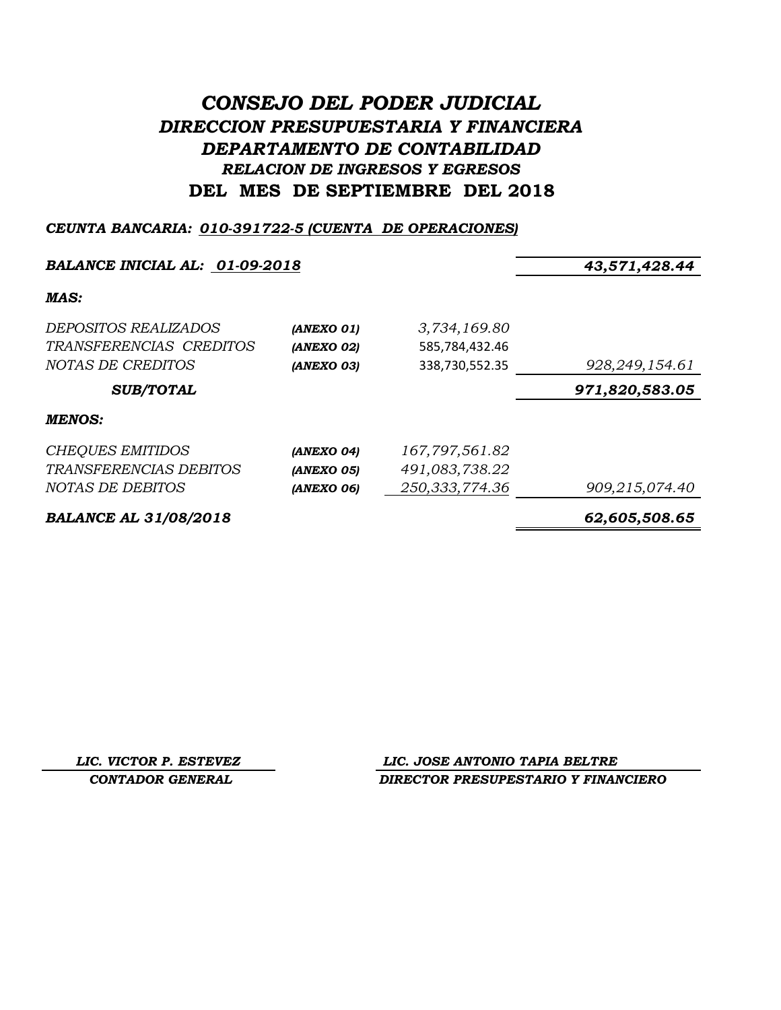# *CONSEJO DEL PODER JUDICIAL DIRECCION PRESUPUESTARIA Y FINANCIERA DEPARTAMENTO DE CONTABILIDAD RELACION DE INGRESOS Y EGRESOS* **DEL MES DE SEPTIEMBRE DEL 2018**

## *CEUNTA BANCARIA: 010-391722-5 (CUENTA DE OPERACIONES)*

## *BALANCE INICIAL AL: 01-09-2018 43,571,428.44*

## *MAS:*

| <i>DEPOSITOS REALIZADOS</i><br>TRANSFERENCIAS CREDITOS<br><i>NOTAS DE CREDITOS</i> | (ANEXO 01)<br>(ANEXO 02)<br>(ANEXO 03) | 3,734,169.80<br>585,784,432.46<br>338,730,552.35 | 928, 249, 154.61 |
|------------------------------------------------------------------------------------|----------------------------------------|--------------------------------------------------|------------------|
| <b>SUB/TOTAL</b>                                                                   |                                        |                                                  | 971,820,583.05   |
| <b>MENOS:</b>                                                                      |                                        |                                                  |                  |
| <b>CHEQUES EMITIDOS</b>                                                            | (ANEXO 04)                             | 167,797,561.82                                   |                  |
| TRANSFERENCIAS DEBITOS                                                             | (ANEXO 05)                             | 491,083,738.22                                   |                  |
| NOTAS DE DEBITOS                                                                   | (ANEXO 06)                             | 250,333,774.36                                   | 909,215,074.40   |
|                                                                                    |                                        |                                                  |                  |

*BALANCE AL 31/08/2018 62,605,508.65*

*LIC. VICTOR P. ESTEVEZ LIC. JOSE ANTONIO TAPIA BELTRE CONTADOR GENERAL DIRECTOR PRESUPESTARIO Y FINANCIERO*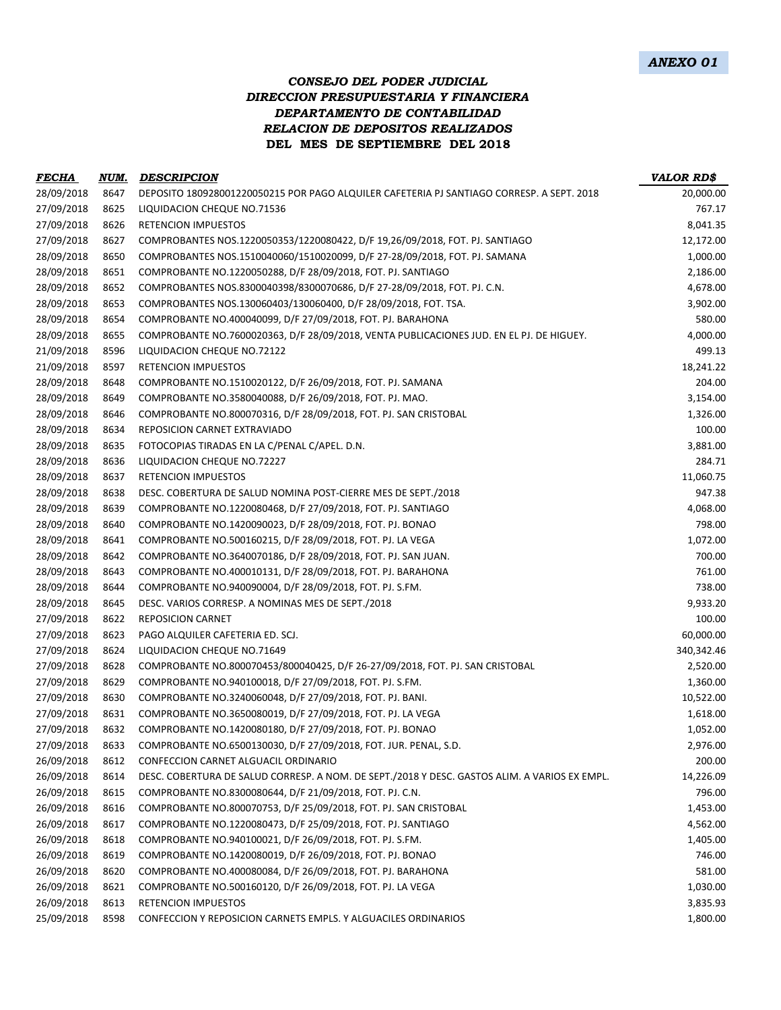## *CONSEJO DEL PODER JUDICIAL DIRECCION PRESUPUESTARIA Y FINANCIERA DEPARTAMENTO DE CONTABILIDAD RELACION DE DEPOSITOS REALIZADOS* **DEL MES DE SEPTIEMBRE DEL 2018**

| <b>FECHA</b> | NUM. | <b>DESCRIPCION</b>                                                                            | <b>VALOR RD\$</b> |
|--------------|------|-----------------------------------------------------------------------------------------------|-------------------|
| 28/09/2018   | 8647 | DEPOSITO 180928001220050215 POR PAGO ALQUILER CAFETERIA PJ SANTIAGO CORRESP. A SEPT. 2018     | 20,000.00         |
| 27/09/2018   | 8625 | LIQUIDACION CHEQUE NO.71536                                                                   | 767.17            |
| 27/09/2018   | 8626 | <b>RETENCION IMPUESTOS</b>                                                                    | 8,041.35          |
| 27/09/2018   | 8627 | COMPROBANTES NOS.1220050353/1220080422, D/F 19,26/09/2018, FOT. PJ. SANTIAGO                  | 12,172.00         |
| 28/09/2018   | 8650 | COMPROBANTES NOS.1510040060/1510020099, D/F 27-28/09/2018, FOT. PJ. SAMANA                    | 1,000.00          |
| 28/09/2018   | 8651 | COMPROBANTE NO.1220050288, D/F 28/09/2018, FOT. PJ. SANTIAGO                                  | 2,186.00          |
| 28/09/2018   | 8652 | COMPROBANTES NOS.8300040398/8300070686, D/F 27-28/09/2018, FOT. PJ. C.N.                      | 4,678.00          |
| 28/09/2018   | 8653 | COMPROBANTES NOS.130060403/130060400, D/F 28/09/2018, FOT. TSA.                               | 3,902.00          |
| 28/09/2018   | 8654 | COMPROBANTE NO.400040099, D/F 27/09/2018, FOT. PJ. BARAHONA                                   | 580.00            |
| 28/09/2018   | 8655 | COMPROBANTE NO.7600020363, D/F 28/09/2018, VENTA PUBLICACIONES JUD. EN EL PJ. DE HIGUEY.      | 4,000.00          |
| 21/09/2018   | 8596 | LIQUIDACION CHEQUE NO.72122                                                                   | 499.13            |
| 21/09/2018   | 8597 | <b>RETENCION IMPUESTOS</b>                                                                    | 18,241.22         |
| 28/09/2018   | 8648 | COMPROBANTE NO.1510020122, D/F 26/09/2018, FOT. PJ. SAMANA                                    | 204.00            |
| 28/09/2018   | 8649 | COMPROBANTE NO.3580040088, D/F 26/09/2018, FOT. PJ. MAO.                                      | 3,154.00          |
| 28/09/2018   | 8646 | COMPROBANTE NO.800070316, D/F 28/09/2018, FOT. PJ. SAN CRISTOBAL                              | 1,326.00          |
| 28/09/2018   | 8634 | REPOSICION CARNET EXTRAVIADO                                                                  | 100.00            |
| 28/09/2018   | 8635 | FOTOCOPIAS TIRADAS EN LA C/PENAL C/APEL. D.N.                                                 | 3,881.00          |
| 28/09/2018   | 8636 | LIQUIDACION CHEQUE NO.72227                                                                   | 284.71            |
| 28/09/2018   | 8637 | <b>RETENCION IMPUESTOS</b>                                                                    | 11,060.75         |
| 28/09/2018   | 8638 | DESC. COBERTURA DE SALUD NOMINA POST-CIERRE MES DE SEPT./2018                                 | 947.38            |
| 28/09/2018   | 8639 | COMPROBANTE NO.1220080468, D/F 27/09/2018, FOT. PJ. SANTIAGO                                  | 4,068.00          |
| 28/09/2018   | 8640 | COMPROBANTE NO.1420090023, D/F 28/09/2018, FOT. PJ. BONAO                                     | 798.00            |
| 28/09/2018   | 8641 | COMPROBANTE NO.500160215, D/F 28/09/2018, FOT. PJ. LA VEGA                                    | 1,072.00          |
| 28/09/2018   | 8642 | COMPROBANTE NO.3640070186, D/F 28/09/2018, FOT. PJ. SAN JUAN.                                 | 700.00            |
| 28/09/2018   | 8643 | COMPROBANTE NO.400010131, D/F 28/09/2018, FOT. PJ. BARAHONA                                   | 761.00            |
| 28/09/2018   | 8644 | COMPROBANTE NO.940090004, D/F 28/09/2018, FOT. PJ. S.FM.                                      | 738.00            |
| 28/09/2018   | 8645 | DESC. VARIOS CORRESP. A NOMINAS MES DE SEPT./2018                                             | 9,933.20          |
| 27/09/2018   | 8622 | <b>REPOSICION CARNET</b>                                                                      | 100.00            |
| 27/09/2018   | 8623 | PAGO ALQUILER CAFETERIA ED. SCJ.                                                              | 60,000.00         |
| 27/09/2018   | 8624 | LIQUIDACION CHEQUE NO.71649                                                                   | 340,342.46        |
| 27/09/2018   | 8628 | COMPROBANTE NO.800070453/800040425, D/F 26-27/09/2018, FOT. PJ. SAN CRISTOBAL                 | 2,520.00          |
| 27/09/2018   | 8629 | COMPROBANTE NO.940100018, D/F 27/09/2018, FOT. PJ. S.FM.                                      | 1,360.00          |
| 27/09/2018   | 8630 | COMPROBANTE NO.3240060048, D/F 27/09/2018, FOT. PJ. BANI.                                     | 10,522.00         |
| 27/09/2018   | 8631 | COMPROBANTE NO.3650080019, D/F 27/09/2018, FOT. PJ. LA VEGA                                   | 1,618.00          |
| 27/09/2018   | 8632 | COMPROBANTE NO.1420080180, D/F 27/09/2018, FOT. PJ. BONAO                                     | 1,052.00          |
| 27/09/2018   | 8633 | COMPROBANTE NO.6500130030, D/F 27/09/2018, FOT. JUR. PENAL, S.D.                              | 2,976.00          |
| 26/09/2018   | 8612 | CONFECCION CARNET ALGUACIL ORDINARIO                                                          | 200.00            |
| 26/09/2018   | 8614 | DESC. COBERTURA DE SALUD CORRESP. A NOM. DE SEPT./2018 Y DESC. GASTOS ALIM. A VARIOS EX EMPL. | 14,226.09         |
| 26/09/2018   | 8615 | COMPROBANTE NO.8300080644, D/F 21/09/2018, FOT. PJ. C.N.                                      | 796.00            |
| 26/09/2018   | 8616 | COMPROBANTE NO.800070753, D/F 25/09/2018, FOT. PJ. SAN CRISTOBAL                              | 1,453.00          |
| 26/09/2018   | 8617 | COMPROBANTE NO.1220080473, D/F 25/09/2018, FOT. PJ. SANTIAGO                                  | 4,562.00          |
| 26/09/2018   | 8618 | COMPROBANTE NO.940100021, D/F 26/09/2018, FOT. PJ. S.FM.                                      | 1,405.00          |
| 26/09/2018   | 8619 | COMPROBANTE NO.1420080019, D/F 26/09/2018, FOT. PJ. BONAO                                     | 746.00            |
| 26/09/2018   | 8620 | COMPROBANTE NO.400080084, D/F 26/09/2018, FOT. PJ. BARAHONA                                   | 581.00            |
| 26/09/2018   | 8621 | COMPROBANTE NO.500160120, D/F 26/09/2018, FOT. PJ. LA VEGA                                    | 1,030.00          |
| 26/09/2018   | 8613 | <b>RETENCION IMPUESTOS</b>                                                                    | 3,835.93          |
| 25/09/2018   | 8598 | CONFECCION Y REPOSICION CARNETS EMPLS. Y ALGUACILES ORDINARIOS                                | 1,800.00          |
|              |      |                                                                                               |                   |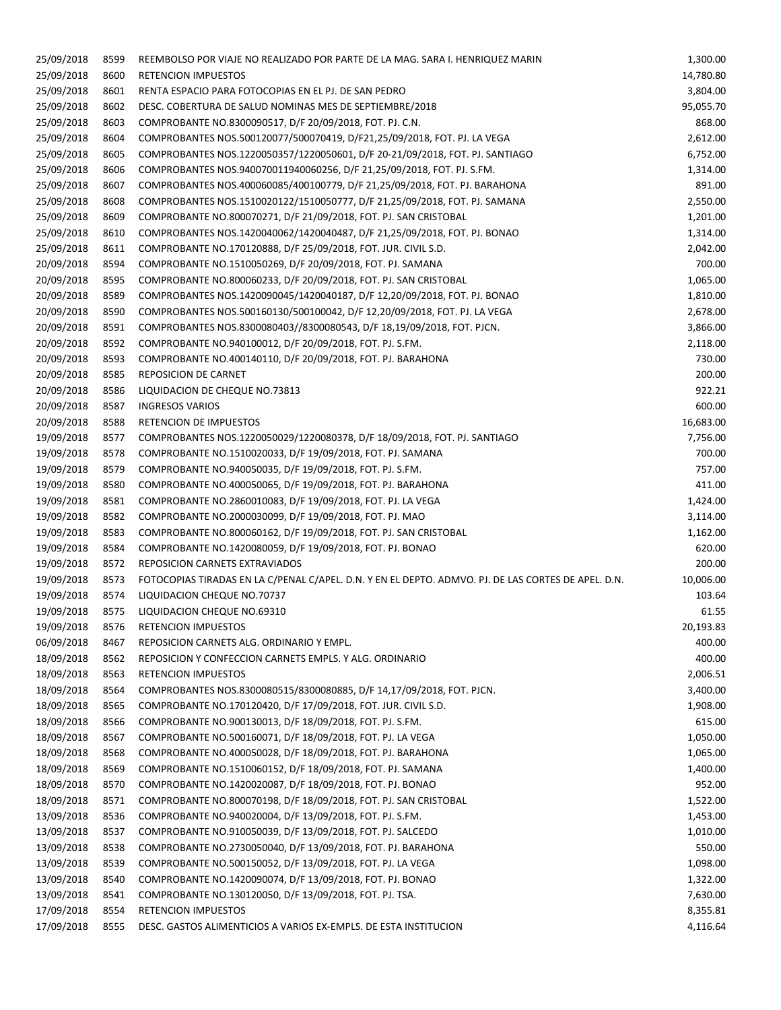| 25/09/2018 | 8599 | REEMBOLSO POR VIAJE NO REALIZADO POR PARTE DE LA MAG. SARA I. HENRIQUEZ MARIN                       | 1,300.00  |
|------------|------|-----------------------------------------------------------------------------------------------------|-----------|
| 25/09/2018 | 8600 | <b>RETENCION IMPUESTOS</b>                                                                          | 14,780.80 |
| 25/09/2018 | 8601 | RENTA ESPACIO PARA FOTOCOPIAS EN EL PJ. DE SAN PEDRO                                                | 3,804.00  |
| 25/09/2018 | 8602 | DESC. COBERTURA DE SALUD NOMINAS MES DE SEPTIEMBRE/2018                                             | 95,055.70 |
| 25/09/2018 | 8603 | COMPROBANTE NO.8300090517, D/F 20/09/2018, FOT. PJ. C.N.                                            | 868.00    |
| 25/09/2018 | 8604 | COMPROBANTES NOS.500120077/500070419, D/F21,25/09/2018, FOT. PJ. LA VEGA                            | 2,612.00  |
| 25/09/2018 | 8605 | COMPROBANTES NOS.1220050357/1220050601, D/F 20-21/09/2018, FOT. PJ. SANTIAGO                        | 6,752.00  |
| 25/09/2018 |      |                                                                                                     |           |
|            | 8606 | COMPROBANTES NOS.940070011940060256, D/F 21,25/09/2018, FOT. PJ. S.FM.                              | 1,314.00  |
| 25/09/2018 | 8607 | COMPROBANTES NOS.400060085/400100779, D/F 21,25/09/2018, FOT. PJ. BARAHONA                          | 891.00    |
| 25/09/2018 | 8608 | COMPROBANTES NOS.1510020122/1510050777, D/F 21,25/09/2018, FOT. PJ. SAMANA                          | 2,550.00  |
| 25/09/2018 | 8609 | COMPROBANTE NO.800070271, D/F 21/09/2018, FOT. PJ. SAN CRISTOBAL                                    | 1,201.00  |
| 25/09/2018 | 8610 | COMPROBANTES NOS.1420040062/1420040487, D/F 21,25/09/2018, FOT. PJ. BONAO                           | 1,314.00  |
| 25/09/2018 | 8611 | COMPROBANTE NO.170120888, D/F 25/09/2018, FOT. JUR. CIVIL S.D.                                      | 2,042.00  |
| 20/09/2018 | 8594 | COMPROBANTE NO.1510050269, D/F 20/09/2018, FOT. PJ. SAMANA                                          | 700.00    |
| 20/09/2018 | 8595 | COMPROBANTE NO.800060233, D/F 20/09/2018, FOT. PJ. SAN CRISTOBAL                                    | 1,065.00  |
| 20/09/2018 | 8589 | COMPROBANTES NOS.1420090045/1420040187, D/F 12,20/09/2018, FOT. PJ. BONAO                           | 1,810.00  |
| 20/09/2018 | 8590 | COMPROBANTES NOS.500160130/500100042, D/F 12,20/09/2018, FOT. PJ. LA VEGA                           | 2,678.00  |
| 20/09/2018 | 8591 | COMPROBANTES NOS.8300080403//8300080543, D/F 18,19/09/2018, FOT. PJCN.                              | 3,866.00  |
| 20/09/2018 | 8592 | COMPROBANTE NO.940100012, D/F 20/09/2018, FOT. PJ. S.FM.                                            | 2,118.00  |
| 20/09/2018 | 8593 | COMPROBANTE NO.400140110, D/F 20/09/2018, FOT. PJ. BARAHONA                                         | 730.00    |
| 20/09/2018 | 8585 | REPOSICION DE CARNET                                                                                | 200.00    |
| 20/09/2018 | 8586 | LIQUIDACION DE CHEQUE NO.73813                                                                      | 922.21    |
| 20/09/2018 | 8587 | <b>INGRESOS VARIOS</b>                                                                              | 600.00    |
| 20/09/2018 | 8588 | RETENCION DE IMPUESTOS                                                                              | 16,683.00 |
| 19/09/2018 | 8577 | COMPROBANTES NOS.1220050029/1220080378, D/F 18/09/2018, FOT. PJ. SANTIAGO                           | 7,756.00  |
| 19/09/2018 | 8578 | COMPROBANTE NO.1510020033, D/F 19/09/2018, FOT. PJ. SAMANA                                          | 700.00    |
|            | 8579 |                                                                                                     | 757.00    |
| 19/09/2018 |      | COMPROBANTE NO.940050035, D/F 19/09/2018, FOT. PJ. S.FM.                                            |           |
| 19/09/2018 | 8580 | COMPROBANTE NO.400050065, D/F 19/09/2018, FOT. PJ. BARAHONA                                         | 411.00    |
| 19/09/2018 | 8581 | COMPROBANTE NO.2860010083, D/F 19/09/2018, FOT. PJ. LA VEGA                                         | 1,424.00  |
| 19/09/2018 | 8582 | COMPROBANTE NO.2000030099, D/F 19/09/2018, FOT. PJ. MAO                                             | 3,114.00  |
| 19/09/2018 | 8583 | COMPROBANTE NO.800060162, D/F 19/09/2018, FOT. PJ. SAN CRISTOBAL                                    | 1,162.00  |
| 19/09/2018 | 8584 | COMPROBANTE NO.1420080059, D/F 19/09/2018, FOT. PJ. BONAO                                           | 620.00    |
| 19/09/2018 | 8572 | REPOSICION CARNETS EXTRAVIADOS                                                                      | 200.00    |
| 19/09/2018 | 8573 | FOTOCOPIAS TIRADAS EN LA C/PENAL C/APEL. D.N. Y EN EL DEPTO. ADMVO. PJ. DE LAS CORTES DE APEL. D.N. | 10,006.00 |
| 19/09/2018 | 8574 | LIQUIDACION CHEQUE NO.70737                                                                         | 103.64    |
| 19/09/2018 | 8575 | LIQUIDACION CHEQUE NO.69310                                                                         | 61.55     |
| 19/09/2018 | 8576 | <b>RETENCION IMPUESTOS</b>                                                                          | 20,193.83 |
| 06/09/2018 | 8467 | REPOSICION CARNETS ALG. ORDINARIO Y EMPL.                                                           | 400.00    |
| 18/09/2018 | 8562 | REPOSICION Y CONFECCION CARNETS EMPLS. Y ALG. ORDINARIO                                             | 400.00    |
| 18/09/2018 | 8563 | RETENCION IMPUESTOS                                                                                 | 2,006.51  |
| 18/09/2018 | 8564 | COMPROBANTES NOS.8300080515/8300080885, D/F 14,17/09/2018, FOT. PJCN.                               | 3,400.00  |
| 18/09/2018 | 8565 | COMPROBANTE NO.170120420, D/F 17/09/2018, FOT. JUR. CIVIL S.D.                                      | 1,908.00  |
| 18/09/2018 | 8566 | COMPROBANTE NO.900130013, D/F 18/09/2018, FOT. PJ. S.FM.                                            | 615.00    |
| 18/09/2018 | 8567 | COMPROBANTE NO.500160071, D/F 18/09/2018, FOT. PJ. LA VEGA                                          | 1,050.00  |
| 18/09/2018 | 8568 | COMPROBANTE NO.400050028, D/F 18/09/2018, FOT. PJ. BARAHONA                                         | 1,065.00  |
| 18/09/2018 | 8569 | COMPROBANTE NO.1510060152, D/F 18/09/2018, FOT. PJ. SAMANA                                          | 1,400.00  |
| 18/09/2018 |      |                                                                                                     | 952.00    |
|            | 8570 | COMPROBANTE NO.1420020087, D/F 18/09/2018, FOT. PJ. BONAO                                           |           |
| 18/09/2018 | 8571 | COMPROBANTE NO.800070198, D/F 18/09/2018, FOT. PJ. SAN CRISTOBAL                                    | 1,522.00  |
| 13/09/2018 | 8536 | COMPROBANTE NO.940020004, D/F 13/09/2018, FOT. PJ. S.FM.                                            | 1,453.00  |
| 13/09/2018 | 8537 | COMPROBANTE NO.910050039, D/F 13/09/2018, FOT. PJ. SALCEDO                                          | 1,010.00  |
| 13/09/2018 | 8538 | COMPROBANTE NO.2730050040, D/F 13/09/2018, FOT. PJ. BARAHONA                                        | 550.00    |
| 13/09/2018 | 8539 | COMPROBANTE NO.500150052, D/F 13/09/2018, FOT. PJ. LA VEGA                                          | 1,098.00  |
| 13/09/2018 | 8540 | COMPROBANTE NO.1420090074, D/F 13/09/2018, FOT. PJ. BONAO                                           | 1,322.00  |
| 13/09/2018 | 8541 | COMPROBANTE NO.130120050, D/F 13/09/2018, FOT. PJ. TSA.                                             | 7,630.00  |
| 17/09/2018 | 8554 | <b>RETENCION IMPUESTOS</b>                                                                          | 8,355.81  |
| 17/09/2018 | 8555 | DESC. GASTOS ALIMENTICIOS A VARIOS EX-EMPLS. DE ESTA INSTITUCION                                    | 4,116.64  |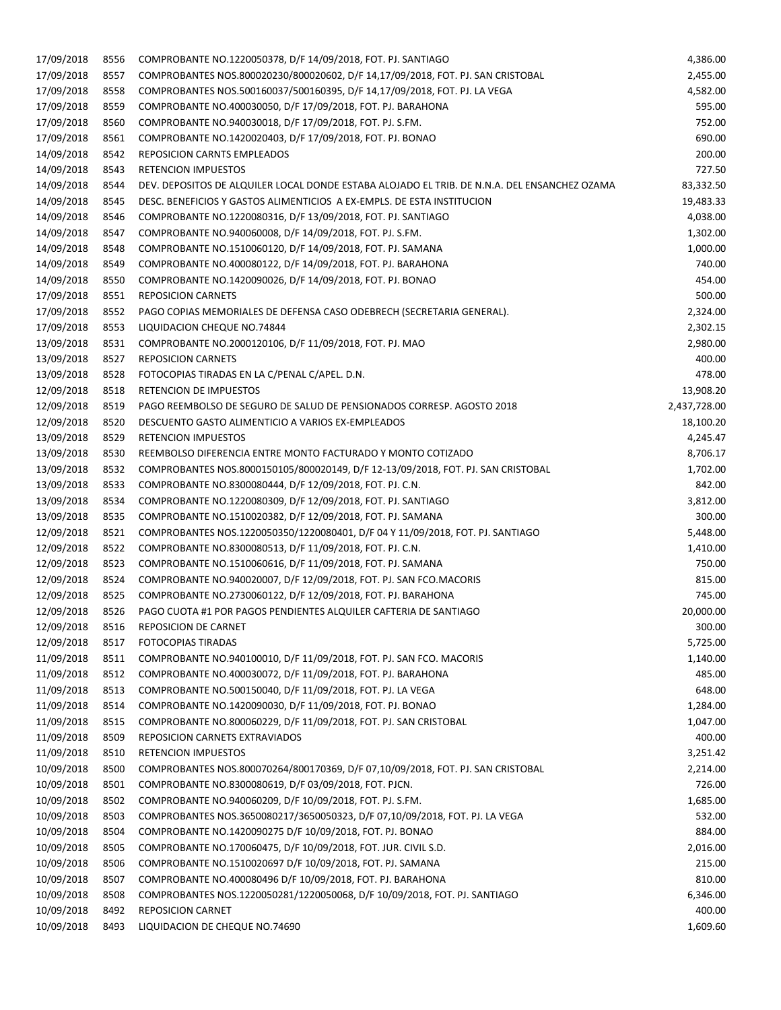| 17/09/2018 | 8556 | COMPROBANTE NO.1220050378, D/F 14/09/2018, FOT. PJ. SANTIAGO                                 | 4,386.00     |
|------------|------|----------------------------------------------------------------------------------------------|--------------|
| 17/09/2018 | 8557 | COMPROBANTES NOS.800020230/800020602, D/F 14,17/09/2018, FOT. PJ. SAN CRISTOBAL              | 2,455.00     |
| 17/09/2018 | 8558 | COMPROBANTES NOS.500160037/500160395, D/F 14,17/09/2018, FOT. PJ. LA VEGA                    | 4,582.00     |
| 17/09/2018 | 8559 | COMPROBANTE NO.400030050, D/F 17/09/2018, FOT. PJ. BARAHONA                                  | 595.00       |
| 17/09/2018 | 8560 | COMPROBANTE NO.940030018, D/F 17/09/2018, FOT. PJ. S.FM.                                     | 752.00       |
| 17/09/2018 | 8561 | COMPROBANTE NO.1420020403, D/F 17/09/2018, FOT. PJ. BONAO                                    | 690.00       |
| 14/09/2018 | 8542 | REPOSICION CARNTS EMPLEADOS                                                                  | 200.00       |
| 14/09/2018 | 8543 | <b>RETENCION IMPUESTOS</b>                                                                   | 727.50       |
| 14/09/2018 | 8544 | DEV. DEPOSITOS DE ALQUILER LOCAL DONDE ESTABA ALOJADO EL TRIB. DE N.N.A. DEL ENSANCHEZ OZAMA | 83,332.50    |
| 14/09/2018 | 8545 | DESC. BENEFICIOS Y GASTOS ALIMENTICIOS A EX-EMPLS. DE ESTA INSTITUCION                       | 19,483.33    |
| 14/09/2018 | 8546 | COMPROBANTE NO.1220080316, D/F 13/09/2018, FOT. PJ. SANTIAGO                                 | 4,038.00     |
| 14/09/2018 | 8547 | COMPROBANTE NO.940060008, D/F 14/09/2018, FOT. PJ. S.FM.                                     | 1,302.00     |
| 14/09/2018 | 8548 | COMPROBANTE NO.1510060120, D/F 14/09/2018, FOT. PJ. SAMANA                                   | 1,000.00     |
| 14/09/2018 | 8549 | COMPROBANTE NO.400080122, D/F 14/09/2018, FOT. PJ. BARAHONA                                  | 740.00       |
| 14/09/2018 | 8550 | COMPROBANTE NO.1420090026, D/F 14/09/2018, FOT. PJ. BONAO                                    | 454.00       |
| 17/09/2018 | 8551 | <b>REPOSICION CARNETS</b>                                                                    | 500.00       |
| 17/09/2018 | 8552 | PAGO COPIAS MEMORIALES DE DEFENSA CASO ODEBRECH (SECRETARIA GENERAL).                        | 2,324.00     |
| 17/09/2018 | 8553 | LIQUIDACION CHEQUE NO.74844                                                                  | 2,302.15     |
| 13/09/2018 | 8531 | COMPROBANTE NO.2000120106, D/F 11/09/2018, FOT. PJ. MAO                                      | 2,980.00     |
| 13/09/2018 | 8527 | <b>REPOSICION CARNETS</b>                                                                    | 400.00       |
| 13/09/2018 | 8528 | FOTOCOPIAS TIRADAS EN LA C/PENAL C/APEL. D.N.                                                | 478.00       |
| 12/09/2018 | 8518 | RETENCION DE IMPUESTOS                                                                       | 13,908.20    |
| 12/09/2018 | 8519 | PAGO REEMBOLSO DE SEGURO DE SALUD DE PENSIONADOS CORRESP. AGOSTO 2018                        | 2,437,728.00 |
| 12/09/2018 | 8520 | DESCUENTO GASTO ALIMENTICIO A VARIOS EX-EMPLEADOS                                            | 18,100.20    |
| 13/09/2018 | 8529 | <b>RETENCION IMPUESTOS</b>                                                                   | 4,245.47     |
| 13/09/2018 | 8530 | REEMBOLSO DIFERENCIA ENTRE MONTO FACTURADO Y MONTO COTIZADO                                  | 8,706.17     |
| 13/09/2018 | 8532 | COMPROBANTES NOS.8000150105/800020149, D/F 12-13/09/2018, FOT. PJ. SAN CRISTOBAL             | 1,702.00     |
| 13/09/2018 | 8533 | COMPROBANTE NO.8300080444, D/F 12/09/2018, FOT. PJ. C.N.                                     | 842.00       |
| 13/09/2018 | 8534 | COMPROBANTE NO.1220080309, D/F 12/09/2018, FOT. PJ. SANTIAGO                                 | 3,812.00     |
| 13/09/2018 | 8535 | COMPROBANTE NO.1510020382, D/F 12/09/2018, FOT. PJ. SAMANA                                   | 300.00       |
| 12/09/2018 | 8521 | COMPROBANTES NOS.1220050350/1220080401, D/F 04 Y 11/09/2018, FOT. PJ. SANTIAGO               | 5,448.00     |
| 12/09/2018 | 8522 | COMPROBANTE NO.8300080513, D/F 11/09/2018, FOT. PJ. C.N.                                     | 1,410.00     |
| 12/09/2018 | 8523 | COMPROBANTE NO.1510060616, D/F 11/09/2018, FOT. PJ. SAMANA                                   | 750.00       |
| 12/09/2018 | 8524 | COMPROBANTE NO.940020007, D/F 12/09/2018, FOT. PJ. SAN FCO.MACORIS                           | 815.00       |
| 12/09/2018 | 8525 | COMPROBANTE NO.2730060122, D/F 12/09/2018, FOT. PJ. BARAHONA                                 | 745.00       |
| 12/09/2018 | 8526 | PAGO CUOTA #1 POR PAGOS PENDIENTES ALQUILER CAFTERIA DE SANTIAGO                             | 20,000.00    |
| 12/09/2018 | 8516 | REPOSICION DE CARNET                                                                         | 300.00       |
| 12/09/2018 | 8517 | FOTOCOPIAS TIRADAS                                                                           | 5,725.00     |
| 11/09/2018 | 8511 | COMPROBANTE NO.940100010, D/F 11/09/2018, FOT. PJ. SAN FCO. MACORIS                          | 1,140.00     |
| 11/09/2018 | 8512 | COMPROBANTE NO.400030072, D/F 11/09/2018, FOT. PJ. BARAHONA                                  | 485.00       |
| 11/09/2018 | 8513 | COMPROBANTE NO.500150040, D/F 11/09/2018, FOT. PJ. LA VEGA                                   | 648.00       |
| 11/09/2018 | 8514 | COMPROBANTE NO.1420090030, D/F 11/09/2018, FOT. PJ. BONAO                                    | 1,284.00     |
| 11/09/2018 | 8515 | COMPROBANTE NO.800060229, D/F 11/09/2018, FOT. PJ. SAN CRISTOBAL                             | 1,047.00     |
| 11/09/2018 | 8509 | REPOSICION CARNETS EXTRAVIADOS                                                               | 400.00       |
| 11/09/2018 | 8510 | <b>RETENCION IMPUESTOS</b>                                                                   | 3,251.42     |
| 10/09/2018 | 8500 | COMPROBANTES NOS.800070264/800170369, D/F 07,10/09/2018, FOT. PJ. SAN CRISTOBAL              | 2,214.00     |
| 10/09/2018 | 8501 | COMPROBANTE NO.8300080619, D/F 03/09/2018, FOT. PJCN.                                        | 726.00       |
| 10/09/2018 | 8502 | COMPROBANTE NO.940060209, D/F 10/09/2018, FOT. PJ. S.FM.                                     | 1,685.00     |
| 10/09/2018 | 8503 | COMPROBANTES NOS.3650080217/3650050323, D/F 07,10/09/2018, FOT. PJ. LA VEGA                  | 532.00       |
| 10/09/2018 | 8504 | COMPROBANTE NO.1420090275 D/F 10/09/2018, FOT. PJ. BONAO                                     | 884.00       |
| 10/09/2018 | 8505 | COMPROBANTE NO.170060475, D/F 10/09/2018, FOT. JUR. CIVIL S.D.                               | 2,016.00     |
| 10/09/2018 | 8506 | COMPROBANTE NO.1510020697 D/F 10/09/2018, FOT. PJ. SAMANA                                    | 215.00       |
| 10/09/2018 | 8507 | COMPROBANTE NO.400080496 D/F 10/09/2018, FOT. PJ. BARAHONA                                   | 810.00       |
| 10/09/2018 | 8508 | COMPROBANTES NOS.1220050281/1220050068, D/F 10/09/2018, FOT. PJ. SANTIAGO                    | 6,346.00     |
| 10/09/2018 | 8492 | <b>REPOSICION CARNET</b>                                                                     | 400.00       |
| 10/09/2018 | 8493 | LIQUIDACION DE CHEQUE NO.74690                                                               | 1,609.60     |
|            |      |                                                                                              |              |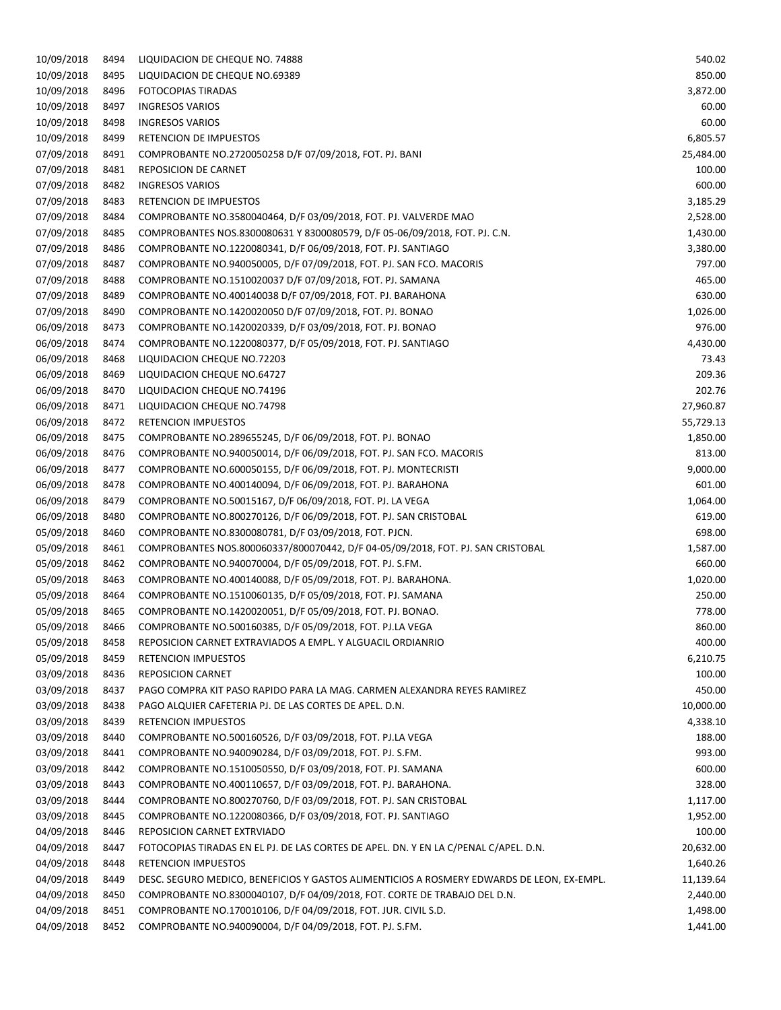| 10/09/2018 | 8494 | LIQUIDACION DE CHEQUE NO. 74888                                                           | 540.02    |
|------------|------|-------------------------------------------------------------------------------------------|-----------|
| 10/09/2018 | 8495 | LIQUIDACION DE CHEQUE NO.69389                                                            | 850.00    |
| 10/09/2018 | 8496 | FOTOCOPIAS TIRADAS                                                                        | 3,872.00  |
| 10/09/2018 | 8497 | <b>INGRESOS VARIOS</b>                                                                    | 60.00     |
| 10/09/2018 | 8498 | <b>INGRESOS VARIOS</b>                                                                    | 60.00     |
| 10/09/2018 | 8499 | RETENCION DE IMPUESTOS                                                                    | 6,805.57  |
| 07/09/2018 | 8491 | COMPROBANTE NO.2720050258 D/F 07/09/2018, FOT. PJ. BANI                                   | 25,484.00 |
| 07/09/2018 | 8481 | REPOSICION DE CARNET                                                                      | 100.00    |
| 07/09/2018 | 8482 | <b>INGRESOS VARIOS</b>                                                                    | 600.00    |
| 07/09/2018 | 8483 | RETENCION DE IMPUESTOS                                                                    | 3,185.29  |
| 07/09/2018 | 8484 | COMPROBANTE NO.3580040464, D/F 03/09/2018, FOT. PJ. VALVERDE MAO                          | 2,528.00  |
| 07/09/2018 | 8485 | COMPROBANTES NOS.8300080631 Y 8300080579, D/F 05-06/09/2018, FOT. PJ. C.N.                | 1,430.00  |
| 07/09/2018 | 8486 | COMPROBANTE NO.1220080341, D/F 06/09/2018, FOT. PJ. SANTIAGO                              | 3,380.00  |
|            |      |                                                                                           |           |
| 07/09/2018 | 8487 | COMPROBANTE NO.940050005, D/F 07/09/2018, FOT. PJ. SAN FCO. MACORIS                       | 797.00    |
| 07/09/2018 | 8488 | COMPROBANTE NO.1510020037 D/F 07/09/2018, FOT. PJ. SAMANA                                 | 465.00    |
| 07/09/2018 | 8489 | COMPROBANTE NO.400140038 D/F 07/09/2018, FOT. PJ. BARAHONA                                | 630.00    |
| 07/09/2018 | 8490 | COMPROBANTE NO.1420020050 D/F 07/09/2018, FOT. PJ. BONAO                                  | 1,026.00  |
| 06/09/2018 | 8473 | COMPROBANTE NO.1420020339, D/F 03/09/2018, FOT. PJ. BONAO                                 | 976.00    |
| 06/09/2018 | 8474 | COMPROBANTE NO.1220080377, D/F 05/09/2018, FOT. PJ. SANTIAGO                              | 4,430.00  |
| 06/09/2018 | 8468 | LIQUIDACION CHEQUE NO.72203                                                               | 73.43     |
| 06/09/2018 | 8469 | LIQUIDACION CHEQUE NO.64727                                                               | 209.36    |
| 06/09/2018 | 8470 | LIQUIDACION CHEQUE NO.74196                                                               | 202.76    |
| 06/09/2018 | 8471 | LIQUIDACION CHEQUE NO.74798                                                               | 27,960.87 |
| 06/09/2018 | 8472 | <b>RETENCION IMPUESTOS</b>                                                                | 55,729.13 |
| 06/09/2018 | 8475 | COMPROBANTE NO.289655245, D/F 06/09/2018, FOT. PJ. BONAO                                  | 1,850.00  |
| 06/09/2018 | 8476 | COMPROBANTE NO.940050014, D/F 06/09/2018, FOT. PJ. SAN FCO. MACORIS                       | 813.00    |
| 06/09/2018 | 8477 | COMPROBANTE NO.600050155, D/F 06/09/2018, FOT. PJ. MONTECRISTI                            | 9,000.00  |
| 06/09/2018 | 8478 | COMPROBANTE NO.400140094, D/F 06/09/2018, FOT. PJ. BARAHONA                               | 601.00    |
| 06/09/2018 | 8479 | COMPROBANTE NO.50015167, D/F 06/09/2018, FOT. PJ. LA VEGA                                 | 1,064.00  |
| 06/09/2018 | 8480 | COMPROBANTE NO.800270126, D/F 06/09/2018, FOT. PJ. SAN CRISTOBAL                          | 619.00    |
| 05/09/2018 | 8460 | COMPROBANTE NO.8300080781, D/F 03/09/2018, FOT. PJCN.                                     | 698.00    |
| 05/09/2018 | 8461 | COMPROBANTES NOS.800060337/800070442, D/F 04-05/09/2018, FOT. PJ. SAN CRISTOBAL           | 1,587.00  |
| 05/09/2018 | 8462 | COMPROBANTE NO.940070004, D/F 05/09/2018, FOT. PJ. S.FM.                                  | 660.00    |
| 05/09/2018 | 8463 | COMPROBANTE NO.400140088, D/F 05/09/2018, FOT. PJ. BARAHONA.                              | 1,020.00  |
| 05/09/2018 | 8464 | COMPROBANTE NO.1510060135, D/F 05/09/2018, FOT. PJ. SAMANA                                | 250.00    |
| 05/09/2018 | 8465 | COMPROBANTE NO.1420020051, D/F 05/09/2018, FOT. PJ. BONAO.                                | 778.00    |
| 05/09/2018 | 8466 | COMPROBANTE NO.500160385, D/F 05/09/2018, FOT. PJ.LA VEGA                                 | 860.00    |
| 05/09/2018 | 8458 | REPOSICION CARNET EXTRAVIADOS A EMPL. Y ALGUACIL ORDIANRIO                                | 400.00    |
| 05/09/2018 | 8459 | <b>RETENCION IMPUESTOS</b>                                                                | 6,210.75  |
| 03/09/2018 | 8436 | <b>REPOSICION CARNET</b>                                                                  | 100.00    |
| 03/09/2018 | 8437 | PAGO COMPRA KIT PASO RAPIDO PARA LA MAG. CARMEN ALEXANDRA REYES RAMIREZ                   | 450.00    |
| 03/09/2018 | 8438 | PAGO ALQUIER CAFETERIA PJ. DE LAS CORTES DE APEL. D.N.                                    | 10,000.00 |
| 03/09/2018 | 8439 | <b>RETENCION IMPUESTOS</b>                                                                | 4,338.10  |
|            |      |                                                                                           |           |
| 03/09/2018 | 8440 | COMPROBANTE NO.500160526, D/F 03/09/2018, FOT. PJ.LA VEGA                                 | 188.00    |
| 03/09/2018 | 8441 | COMPROBANTE NO.940090284, D/F 03/09/2018, FOT. PJ. S.FM.                                  | 993.00    |
| 03/09/2018 | 8442 | COMPROBANTE NO.1510050550, D/F 03/09/2018, FOT. PJ. SAMANA                                | 600.00    |
| 03/09/2018 | 8443 | COMPROBANTE NO.400110657, D/F 03/09/2018, FOT. PJ. BARAHONA.                              | 328.00    |
| 03/09/2018 | 8444 | COMPROBANTE NO.800270760, D/F 03/09/2018, FOT. PJ. SAN CRISTOBAL                          | 1,117.00  |
| 03/09/2018 | 8445 | COMPROBANTE NO.1220080366, D/F 03/09/2018, FOT. PJ. SANTIAGO                              | 1,952.00  |
| 04/09/2018 | 8446 | REPOSICION CARNET EXTRVIADO                                                               | 100.00    |
| 04/09/2018 | 8447 | FOTOCOPIAS TIRADAS EN EL PJ. DE LAS CORTES DE APEL. DN. Y EN LA C/PENAL C/APEL. D.N.      | 20,632.00 |
| 04/09/2018 | 8448 | <b>RETENCION IMPUESTOS</b>                                                                | 1,640.26  |
| 04/09/2018 | 8449 | DESC. SEGURO MEDICO, BENEFICIOS Y GASTOS ALIMENTICIOS A ROSMERY EDWARDS DE LEON, EX-EMPL. | 11,139.64 |
| 04/09/2018 | 8450 | COMPROBANTE NO.8300040107, D/F 04/09/2018, FOT. CORTE DE TRABAJO DEL D.N.                 | 2,440.00  |
| 04/09/2018 | 8451 | COMPROBANTE NO.170010106, D/F 04/09/2018, FOT. JUR. CIVIL S.D.                            | 1,498.00  |
| 04/09/2018 | 8452 | COMPROBANTE NO.940090004, D/F 04/09/2018, FOT. PJ. S.FM.                                  | 1,441.00  |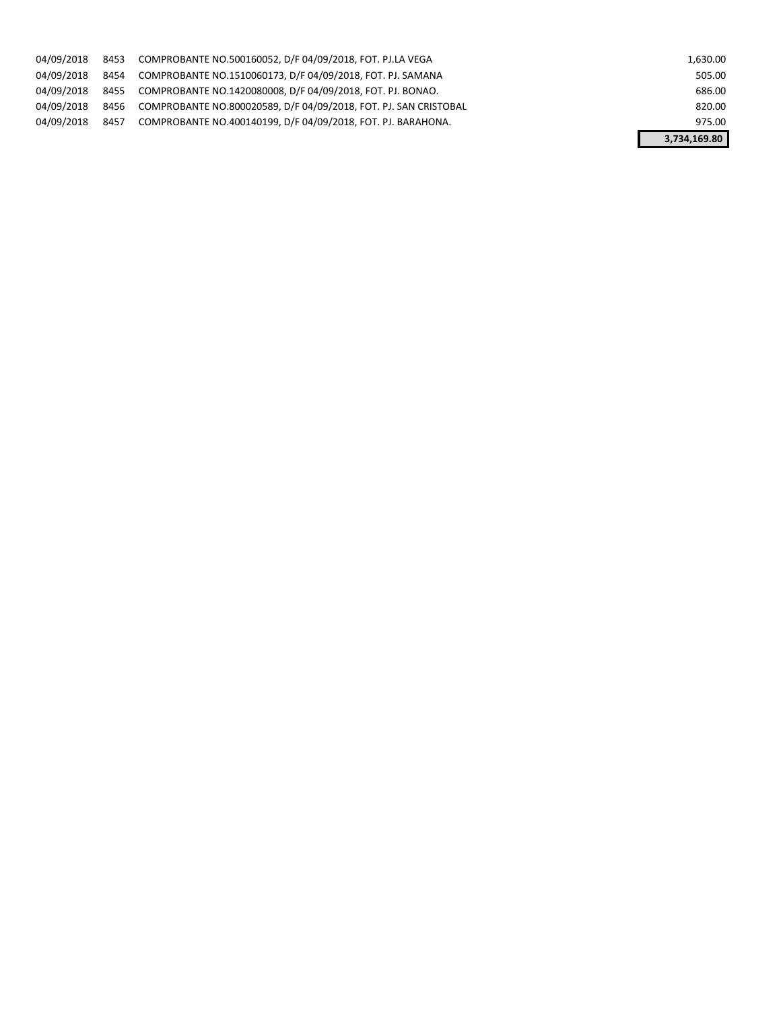| 04/09/2018 | 8453 | COMPROBANTE NO.500160052, D/F 04/09/2018, FOT. PJ.LA VEGA        | 1,630.00     |
|------------|------|------------------------------------------------------------------|--------------|
| 04/09/2018 | 8454 | COMPROBANTE NO.1510060173, D/F 04/09/2018, FOT. PJ. SAMANA       | 505.00       |
| 04/09/2018 | 8455 | COMPROBANTE NO.1420080008, D/F 04/09/2018, FOT. PJ. BONAO.       | 686.00       |
| 04/09/2018 | 8456 | COMPROBANTE NO.800020589, D/F 04/09/2018, FOT, PJ, SAN CRISTOBAL | 820.00       |
| 04/09/2018 | 8457 | COMPROBANTE NO.400140199, D/F 04/09/2018, FOT. PJ. BARAHONA.     | 975.00       |
|            |      |                                                                  | 3,734,169.80 |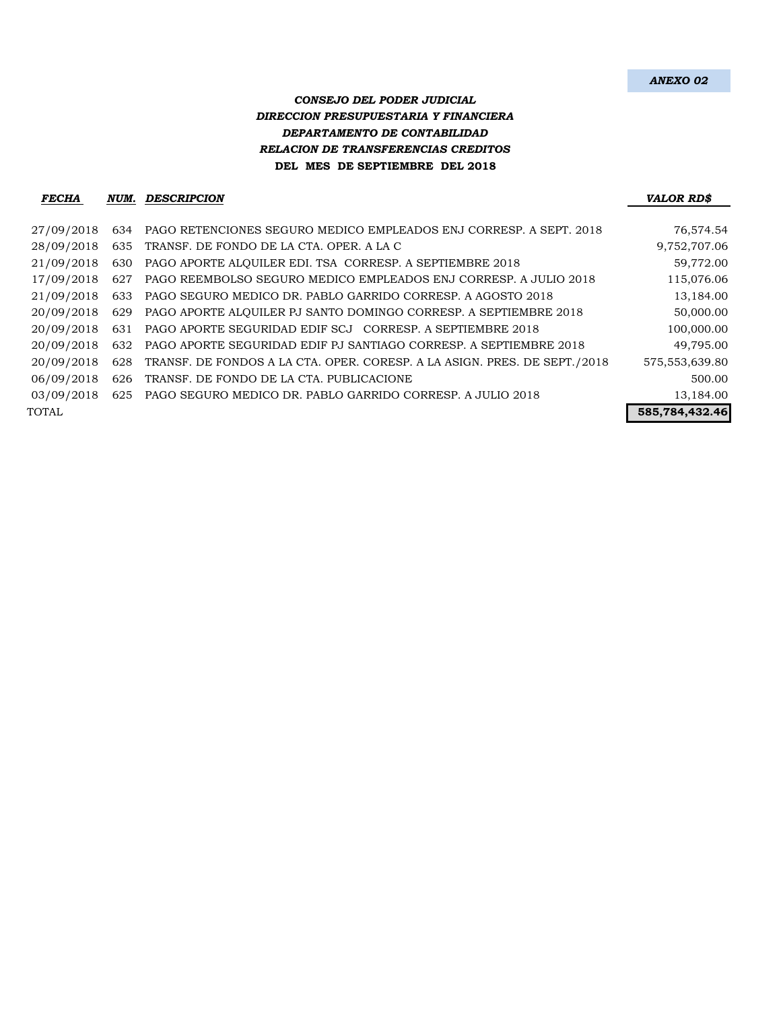## *CONSEJO DEL PODER JUDICIAL DIRECCION PRESUPUESTARIA Y FINANCIERA DEPARTAMENTO DE CONTABILIDAD RELACION DE TRANSFERENCIAS CREDITOS* **DEL MES DE SEPTIEMBRE DEL 2018**

#### *FECHA NUM. DESCRIPCION VALOR RD\$*

| 27/09/2018 | 634 | PAGO RETENCIONES SEGURO MEDICO EMPLEADOS ENJ CORRESP. A SEPT. 2018        | 76,574.54        |
|------------|-----|---------------------------------------------------------------------------|------------------|
| 28/09/2018 | 635 | TRANSF. DE FONDO DE LA CTA. OPER. A LA C                                  | 9,752,707.06     |
| 21/09/2018 | 630 | PAGO APORTE ALQUILER EDI. TSA CORRESP. A SEPTIEMBRE 2018                  | 59,772.00        |
| 17/09/2018 | 627 | PAGO REEMBOLSO SEGURO MEDICO EMPLEADOS ENJ CORRESP. A JULIO 2018          | 115,076.06       |
| 21/09/2018 |     | 633 PAGO SEGURO MEDICO DR. PABLO GARRIDO CORRESP. A AGOSTO 2018           | 13,184.00        |
| 20/09/2018 | 629 | PAGO APORTE ALQUILER PJ SANTO DOMINGO CORRESP. A SEPTIEMBRE 2018          | 50,000.00        |
| 20/09/2018 | 631 | PAGO APORTE SEGURIDAD EDIF SCJ CORRESP. A SEPTIEMBRE 2018                 | 100,000.00       |
| 20/09/2018 |     | 632 PAGO APORTE SEGURIDAD EDIF PJ SANTIAGO CORRESP. A SEPTIEMBRE 2018     | 49,795.00        |
| 20/09/2018 | 628 | TRANSF. DE FONDOS A LA CTA. OPER. CORESP. A LA ASIGN. PRES. DE SEPT./2018 | 575, 553, 639.80 |
| 06/09/2018 | 626 | TRANSF. DE FONDO DE LA CTA. PUBLICACIONE                                  | 500.00           |
| 03/09/2018 |     | 625 PAGO SEGURO MEDICO DR. PABLO GARRIDO CORRESP. A JULIO 2018            | 13,184.00        |
| TOTAL      |     |                                                                           | 585,784,432.46   |
|            |     |                                                                           |                  |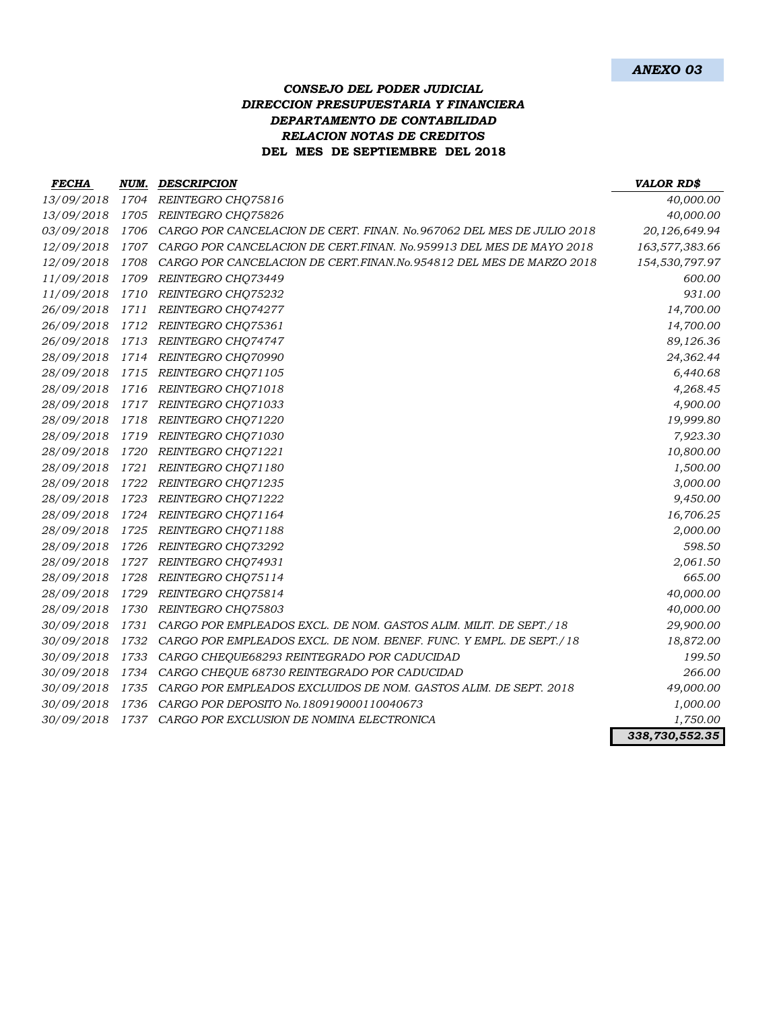### *CONSEJO DEL PODER JUDICIAL DIRECCION PRESUPUESTARIA Y FINANCIERA DEPARTAMENTO DE CONTABILIDAD RELACION NOTAS DE CREDITOS* **DEL MES DE SEPTIEMBRE DEL 2018**

| <b>FECHA</b> | NUM. | <b>DESCRIPCION</b>                                                    | <b>VALOR RD\$</b> |
|--------------|------|-----------------------------------------------------------------------|-------------------|
| 13/09/2018   | 1704 | REINTEGRO CHQ75816                                                    | 40,000.00         |
| 13/09/2018   | 1705 | REINTEGRO CHQ75826                                                    | 40,000.00         |
| 03/09/2018   | 1706 | CARGO POR CANCELACION DE CERT. FINAN. No.967062 DEL MES DE JULIO 2018 | 20,126,649.94     |
| 12/09/2018   | 1707 | CARGO POR CANCELACION DE CERT.FINAN. No.959913 DEL MES DE MAYO 2018   | 163,577,383.66    |
| 12/09/2018   | 1708 | CARGO POR CANCELACION DE CERT.FINAN.No.954812 DEL MES DE MARZO 2018   | 154,530,797.97    |
| 11/09/2018   | 1709 | REINTEGRO CHQ73449                                                    | 600.00            |
| 11/09/2018   | 1710 | REINTEGRO CHQ75232                                                    | 931.00            |
| 26/09/2018   | 1711 | REINTEGRO CHQ74277                                                    | 14,700.00         |
| 26/09/2018   | 1712 | REINTEGRO CHQ75361                                                    | 14,700.00         |
| 26/09/2018   | 1713 | REINTEGRO CHQ74747                                                    | 89,126.36         |
| 28/09/2018   | 1714 | REINTEGRO CHQ70990                                                    | 24,362.44         |
| 28/09/2018   | 1715 | REINTEGRO CHQ71105                                                    | 6,440.68          |
| 28/09/2018   | 1716 | REINTEGRO CHQ71018                                                    | 4,268.45          |
| 28/09/2018   | 1717 | REINTEGRO CHQ71033                                                    | 4,900.00          |
| 28/09/2018   | 1718 | REINTEGRO CHQ71220                                                    | 19,999.80         |
| 28/09/2018   | 1719 | REINTEGRO CHQ71030                                                    | 7,923.30          |
| 28/09/2018   | 1720 | REINTEGRO CHQ71221                                                    | 10,800.00         |
| 28/09/2018   | 1721 | REINTEGRO CHQ71180                                                    | 1,500.00          |
| 28/09/2018   | 1722 | REINTEGRO CHQ71235                                                    | 3,000.00          |
| 28/09/2018   | 1723 | REINTEGRO CHQ71222                                                    | 9,450.00          |
| 28/09/2018   | 1724 | REINTEGRO CHQ71164                                                    | 16,706.25         |
| 28/09/2018   | 1725 | REINTEGRO CHQ71188                                                    | 2,000.00          |
| 28/09/2018   | 1726 | REINTEGRO CHQ73292                                                    | 598.50            |
| 28/09/2018   | 1727 | REINTEGRO CHQ74931                                                    | 2,061.50          |
| 28/09/2018   | 1728 | REINTEGRO CHQ75114                                                    | 665.00            |
| 28/09/2018   | 1729 | REINTEGRO CHQ75814                                                    | 40,000.00         |
| 28/09/2018   | 1730 | REINTEGRO CHQ75803                                                    | 40,000.00         |
| 30/09/2018   | 1731 | CARGO POR EMPLEADOS EXCL. DE NOM. GASTOS ALIM. MILIT. DE SEPT./18     | 29,900.00         |
| 30/09/2018   | 1732 | CARGO POR EMPLEADOS EXCL. DE NOM. BENEF. FUNC. Y EMPL. DE SEPT./18    | 18,872.00         |
| 30/09/2018   | 1733 | CARGO CHEQUE68293 REINTEGRADO POR CADUCIDAD                           | 199.50            |
| 30/09/2018   | 1734 | CARGO CHEQUE 68730 REINTEGRADO POR CADUCIDAD                          | 266.00            |
| 30/09/2018   | 1735 | CARGO POR EMPLEADOS EXCLUIDOS DE NOM. GASTOS ALIM. DE SEPT. 2018      | 49,000.00         |
| 30/09/2018   | 1736 | CARGO POR DEPOSITO No.180919000110040673                              | 1,000.00          |
| 30/09/2018   | 1737 | CARGO POR EXCLUSION DE NOMINA ELECTRONICA                             | 1,750.00          |
|              |      |                                                                       | 338,730,552.35    |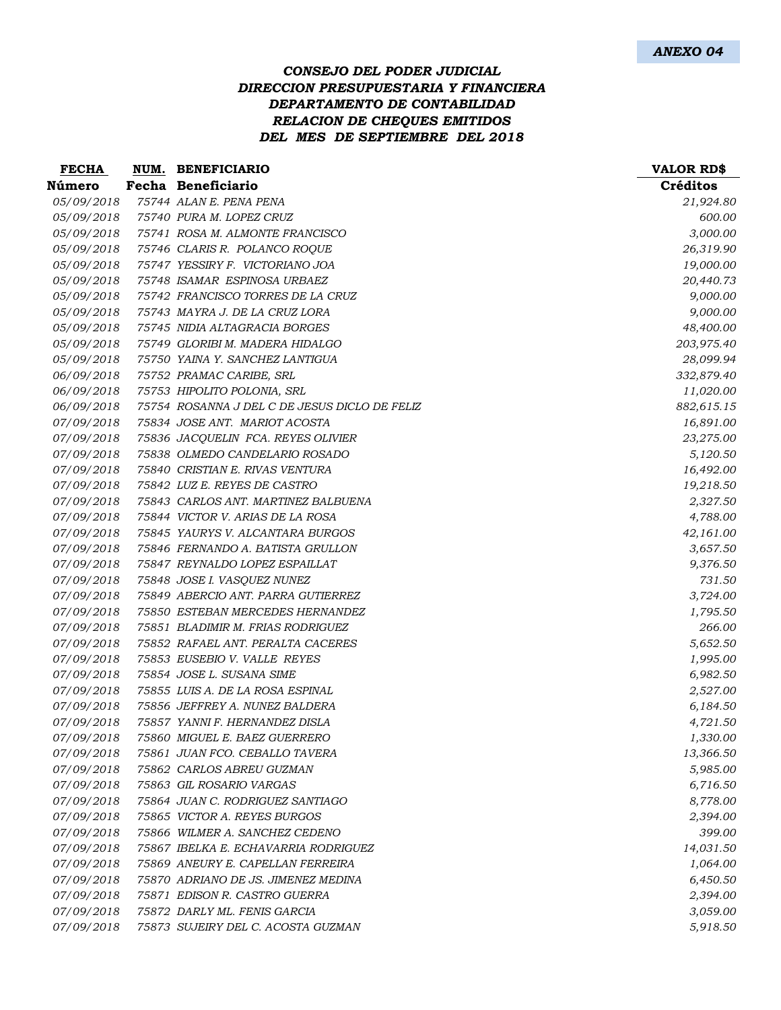## *CONSEJO DEL PODER JUDICIAL DIRECCION PRESUPUESTARIA Y FINANCIERA DEPARTAMENTO DE CONTABILIDAD RELACION DE CHEQUES EMITIDOS DEL MES DE SEPTIEMBRE DEL 2018*

| <b>FECHA</b>      | NUM. BENEFICIARIO                             | <b>VALOR RD\$</b> |
|-------------------|-----------------------------------------------|-------------------|
| Número            | Fecha Beneficiario                            | Créditos          |
| 05/09/2018        | 75744 ALAN E. PENA PENA                       | 21,924.80         |
| 05/09/2018        | 75740 PURA M. LOPEZ CRUZ                      | 600.00            |
| 05/09/2018        | 75741 ROSA M. ALMONTE FRANCISCO               | 3,000.00          |
| 05/09/2018        | 75746 CLARIS R. POLANCO ROQUE                 | 26,319.90         |
| 05/09/2018        | 75747 YESSIRY F. VICTORIANO JOA               | 19,000.00         |
| 05/09/2018        | 75748 ISAMAR ESPINOSA URBAEZ                  | 20,440.73         |
| 05/09/2018        | 75742 FRANCISCO TORRES DE LA CRUZ             | 9,000.00          |
| 05/09/2018        | 75743 MAYRA J. DE LA CRUZ LORA                | 9,000.00          |
| 05/09/2018        | 75745 NIDIA ALTAGRACIA BORGES                 | 48,400.00         |
| 05/09/2018        | 75749 GLORIBI M. MADERA HIDALGO               | 203,975.40        |
| 05/09/2018        | 75750 YAINA Y. SANCHEZ LANTIGUA               | 28,099.94         |
| 06/09/2018        | 75752 PRAMAC CARIBE, SRL                      | 332,879.40        |
| 06/09/2018        | 75753 HIPOLITO POLONIA, SRL                   | 11,020.00         |
| 06/09/2018        | 75754 ROSANNA J DEL C DE JESUS DICLO DE FELIZ | 882,615.15        |
| 07/09/2018        | 75834 JOSE ANT. MARIOT ACOSTA                 | 16,891.00         |
| 07/09/2018        | 75836 JACQUELIN FCA. REYES OLIVIER            | 23,275.00         |
| 07/09/2018        | 75838 OLMEDO CANDELARIO ROSADO                | 5,120.50          |
| 07/09/2018        | 75840 CRISTIAN E. RIVAS VENTURA               | 16,492.00         |
| <i>07/09/2018</i> | 75842 LUZ E. REYES DE CASTRO                  | 19,218.50         |
| 07/09/2018        | 75843 CARLOS ANT. MARTINEZ BALBUENA           | 2,327.50          |
| 07/09/2018        | 75844 VICTOR V. ARIAS DE LA ROSA              | 4,788.00          |
| 07/09/2018        | 75845 YAURYS V. ALCANTARA BURGOS              | 42,161.00         |
| 07/09/2018        | 75846 FERNANDO A. BATISTA GRULLON             | 3,657.50          |
| 07/09/2018        | 75847 REYNALDO LOPEZ ESPAILLAT                | 9,376.50          |
| 07/09/2018        | 75848 JOSE I. VASQUEZ NUNEZ                   | 731.50            |
| 07/09/2018        | 75849 ABERCIO ANT. PARRA GUTIERREZ            | 3,724.00          |
| 07/09/2018        | 75850 ESTEBAN MERCEDES HERNANDEZ              | 1,795.50          |
| 07/09/2018        | 75851 BLADIMIR M. FRIAS RODRIGUEZ             | 266.00            |
| 07/09/2018        | 75852 RAFAEL ANT. PERALTA CACERES             | 5,652.50          |
| 07/09/2018        | 75853 EUSEBIO V. VALLE REYES                  | 1,995.00          |
| 07/09/2018        | 75854 JOSE L. SUSANA SIME                     | 6,982.50          |
| 07/09/2018        | 75855 LUIS A. DE LA ROSA ESPINAL              | 2,527.00          |
| 07/09/2018        | 75856 JEFFREY A. NUNEZ BALDERA                | 6,184.50          |
| 07/09/2018        | 75857 YANNI F. HERNANDEZ DISLA                | 4,721.50          |
| 07/09/2018        | 75860 MIGUEL E. BAEZ GUERRERO                 | 1,330.00          |
| 07/09/2018        | 75861 JUAN FCO. CEBALLO TAVERA                | 13,366.50         |
| 07/09/2018        | 75862 CARLOS ABREU GUZMAN                     | 5,985.00          |
| 07/09/2018        | 75863 GIL ROSARIO VARGAS                      | 6,716.50          |
| 07/09/2018        | 75864 JUAN C. RODRIGUEZ SANTIAGO              | 8,778.00          |
| 07/09/2018        | 75865 VICTOR A. REYES BURGOS                  | 2,394.00          |
| 07/09/2018        | 75866 WILMER A. SANCHEZ CEDENO                | 399.00            |
| 07/09/2018        | 75867 IBELKA E. ECHAVARRIA RODRIGUEZ          | 14,031.50         |
| 07/09/2018        | 75869 ANEURY E. CAPELLAN FERREIRA             | 1,064.00          |
| 07/09/2018        | 75870 ADRIANO DE JS. JIMENEZ MEDINA           | 6,450.50          |
| 07/09/2018        | 75871 EDISON R. CASTRO GUERRA                 | 2,394.00          |
| 07/09/2018        | 75872 DARLY ML. FENIS GARCIA                  | 3,059.00          |
| 07/09/2018        | 75873 SUJEIRY DEL C. ACOSTA GUZMAN            | 5,918.50          |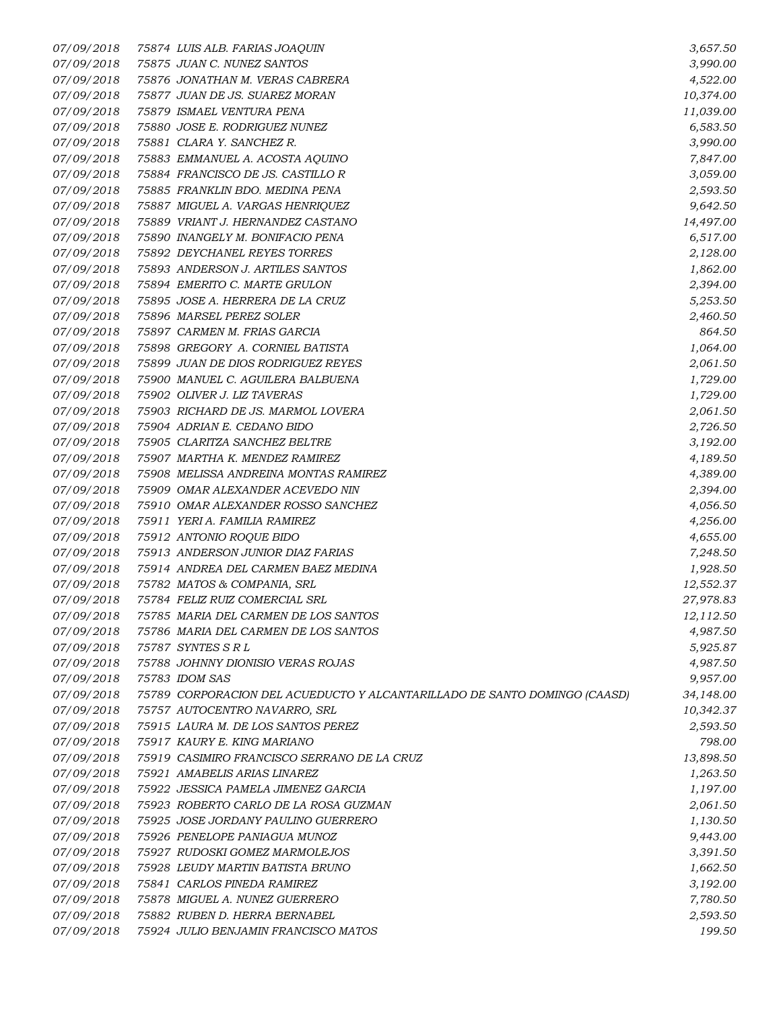*07/09/2018 75874 LUIS ALB. FARIAS JOAQUIN 3,657.50 07/09/2018 75875 JUAN C. NUNEZ SANTOS 3,990.00 07/09/2018 75876 JONATHAN M. VERAS CABRERA 4,522.00 07/09/2018 75877 JUAN DE JS. SUAREZ MORAN 10,374.00 07/09/2018 75879 ISMAEL VENTURA PENA 11,039.00 07/09/2018 75880 JOSE E. RODRIGUEZ NUNEZ 6,583.50 07/09/2018 75881 CLARA Y. SANCHEZ R. 3,990.00 07/09/2018 75883 EMMANUEL A. ACOSTA AQUINO 7,847.00 07/09/2018 75884 FRANCISCO DE JS. CASTILLO R 3,059.00 07/09/2018 75885 FRANKLIN BDO. MEDINA PENA 2,593.50 07/09/2018 75887 MIGUEL A. VARGAS HENRIQUEZ 9,642.50 07/09/2018 75889 VRIANT J. HERNANDEZ CASTANO 14,497.00 07/09/2018 75890 INANGELY M. BONIFACIO PENA 6,517.00 07/09/2018 75892 DEYCHANEL REYES TORRES 2,128.00 07/09/2018 75893 ANDERSON J. ARTILES SANTOS 1,862.00 07/09/2018 75894 EMERITO C. MARTE GRULON 2,394.00 07/09/2018 75895 JOSE A. HERRERA DE LA CRUZ 5,253.50 07/09/2018 75896 MARSEL PEREZ SOLER 2,460.50 07/09/2018 75897 CARMEN M. FRIAS GARCIA 864.50 07/09/2018 75898 GREGORY A. CORNIEL BATISTA 1,064.00 07/09/2018 75899 JUAN DE DIOS RODRIGUEZ REYES 2,061.50 07/09/2018 75900 MANUEL C. AGUILERA BALBUENA 1,729.00 07/09/2018 75902 OLIVER J. LIZ TAVERAS 1,729.00 07/09/2018 75903 RICHARD DE JS. MARMOL LOVERA 2,061.50 07/09/2018 75904 ADRIAN E. CEDANO BIDO 2,726.50 07/09/2018 75905 CLARITZA SANCHEZ BELTRE 3,192.00 07/09/2018 75907 MARTHA K. MENDEZ RAMIREZ 4,189.50 07/09/2018 75908 MELISSA ANDREINA MONTAS RAMIREZ 4,389.00 07/09/2018 75909 OMAR ALEXANDER ACEVEDO NIN 2,394.00 07/09/2018 75910 OMAR ALEXANDER ROSSO SANCHEZ 4,056.50 07/09/2018 75911 YERI A. FAMILIA RAMIREZ 4,256.00 07/09/2018 75912 ANTONIO ROQUE BIDO 4,655.00 07/09/2018 75913 ANDERSON JUNIOR DIAZ FARIAS 7,248.50 07/09/2018 75914 ANDREA DEL CARMEN BAEZ MEDINA 1,928.50 07/09/2018 75782 MATOS & COMPANIA, SRL 12,552.37 07/09/2018 75784 FELIZ RUIZ COMERCIAL SRL 27,978.83 07/09/2018 75785 MARIA DEL CARMEN DE LOS SANTOS 12,112.50 07/09/2018 75786 MARIA DEL CARMEN DE LOS SANTOS 4,987.50 07/09/2018 75787 SYNTES S R L 5,925.87 07/09/2018 75788 JOHNNY DIONISIO VERAS ROJAS 4,987.50 07/09/2018 75783 IDOM SAS 9,957.00 07/09/2018 75789 CORPORACION DEL ACUEDUCTO Y ALCANTARILLADO DE SANTO DOMINGO (CAASD) 34,148.00 07/09/2018 75757 AUTOCENTRO NAVARRO, SRL 10,342.37 07/09/2018 75915 LAURA M. DE LOS SANTOS PEREZ 2,593.50 07/09/2018 75917 KAURY E. KING MARIANO 798.00 07/09/2018 75919 CASIMIRO FRANCISCO SERRANO DE LA CRUZ 13,898.50 07/09/2018 75921 AMABELIS ARIAS LINAREZ 1,263.50 07/09/2018 75922 JESSICA PAMELA JIMENEZ GARCIA 1,197.00 07/09/2018 75923 ROBERTO CARLO DE LA ROSA GUZMAN 2,061.50 07/09/2018 75925 JOSE JORDANY PAULINO GUERRERO 1,130.50 07/09/2018 75926 PENELOPE PANIAGUA MUNOZ 9,443.00 07/09/2018 75927 RUDOSKI GOMEZ MARMOLEJOS 3,391.50 07/09/2018 75928 LEUDY MARTIN BATISTA BRUNO 1,662.50 07/09/2018 75841 CARLOS PINEDA RAMIREZ 3,192.00 07/09/2018 75878 MIGUEL A. NUNEZ GUERRERO 7,780.50 07/09/2018 75882 RUBEN D. HERRA BERNABEL 2,593.50 07/09/2018 75924 JULIO BENJAMIN FRANCISCO MATOS 199.50*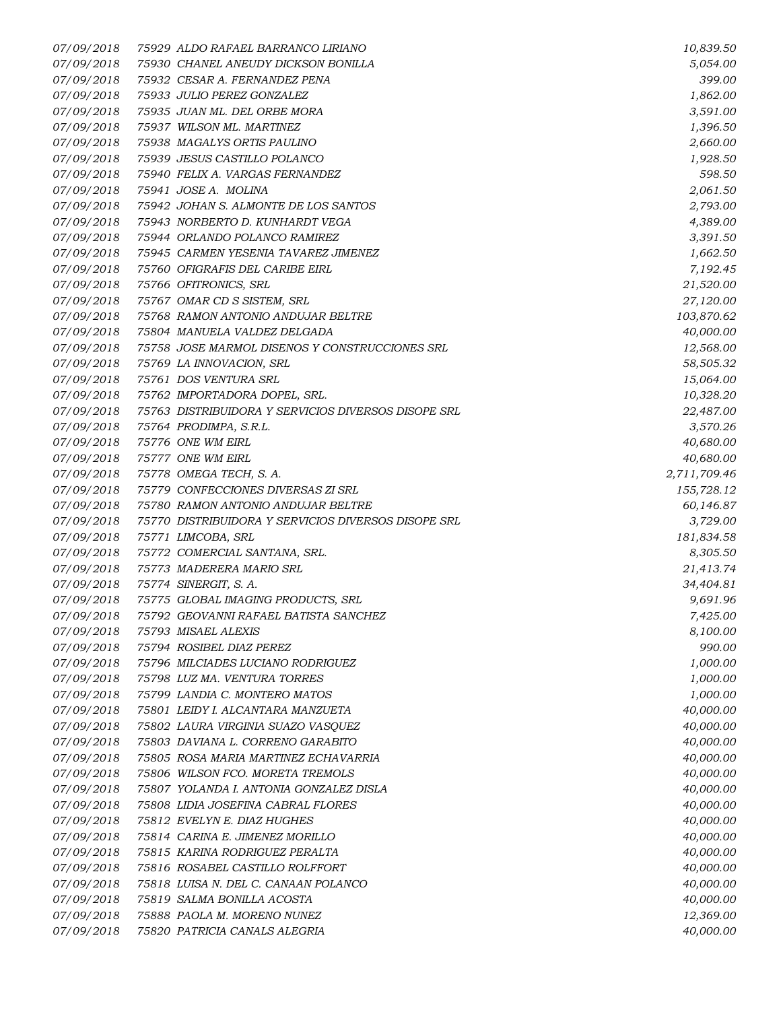*07/09/2018 75929 ALDO RAFAEL BARRANCO LIRIANO 10,839.50 07/09/2018 75930 CHANEL ANEUDY DICKSON BONILLA 5,054.00 07/09/2018 75932 CESAR A. FERNANDEZ PENA 399.00 07/09/2018 75933 JULIO PEREZ GONZALEZ 1,862.00 07/09/2018 75935 JUAN ML. DEL ORBE MORA 3,591.00 07/09/2018 75937 WILSON ML. MARTINEZ 1,396.50 07/09/2018 75938 MAGALYS ORTIS PAULINO 2,660.00 07/09/2018 75939 JESUS CASTILLO POLANCO 1,928.50 07/09/2018 75940 FELIX A. VARGAS FERNANDEZ 598.50 07/09/2018 75941 JOSE A. MOLINA 2,061.50 07/09/2018 75942 JOHAN S. ALMONTE DE LOS SANTOS 2,793.00 07/09/2018 75943 NORBERTO D. KUNHARDT VEGA 4,389.00 07/09/2018 75944 ORLANDO POLANCO RAMIREZ 3,391.50 07/09/2018 75945 CARMEN YESENIA TAVAREZ JIMENEZ 1,662.50 07/09/2018 75760 OFIGRAFIS DEL CARIBE EIRL 7,192.45 07/09/2018 75766 OFITRONICS, SRL 21,520.00 07/09/2018 75767 OMAR CD S SISTEM, SRL 27,120.00 07/09/2018 75768 RAMON ANTONIO ANDUJAR BELTRE 103,870.62 07/09/2018 75804 MANUELA VALDEZ DELGADA 40,000.00 07/09/2018 75758 JOSE MARMOL DISENOS Y CONSTRUCCIONES SRL 12,568.00 07/09/2018 75769 LA INNOVACION, SRL 58,505.32 07/09/2018 75761 DOS VENTURA SRL 15,064.00 07/09/2018 75762 IMPORTADORA DOPEL, SRL. 10,328.20 07/09/2018 75763 DISTRIBUIDORA Y SERVICIOS DIVERSOS DISOPE SRL 22,487.00 07/09/2018 75764 PRODIMPA, S.R.L. 3,570.26 07/09/2018 75776 ONE WM EIRL 40,680.00 07/09/2018 75777 ONE WM EIRL 40,680.00 07/09/2018 75778 OMEGA TECH, S. A. 2,711,709.46 07/09/2018 75779 CONFECCIONES DIVERSAS ZI SRL 155,728.12 07/09/2018 75780 RAMON ANTONIO ANDUJAR BELTRE 60,146.87 07/09/2018 75770 DISTRIBUIDORA Y SERVICIOS DIVERSOS DISOPE SRL 3,729.00 07/09/2018 75771 LIMCOBA, SRL 181,834.58 07/09/2018 75772 COMERCIAL SANTANA, SRL. 8,305.50 07/09/2018 75773 MADERERA MARIO SRL 21,413.74 07/09/2018 75774 SINERGIT, S. A. 34,404.81 07/09/2018 75775 GLOBAL IMAGING PRODUCTS, SRL 9,691.96 07/09/2018 75792 GEOVANNI RAFAEL BATISTA SANCHEZ 7,425.00 07/09/2018 75793 MISAEL ALEXIS 8,100.00 07/09/2018 75794 ROSIBEL DIAZ PEREZ 990.00 07/09/2018 75796 MILCIADES LUCIANO RODRIGUEZ 1,000.00 07/09/2018 75798 LUZ MA. VENTURA TORRES 1,000.00 07/09/2018 75799 LANDIA C. MONTERO MATOS 1,000.00 07/09/2018 75801 LEIDY I. ALCANTARA MANZUETA 40,000.00 07/09/2018 75802 LAURA VIRGINIA SUAZO VASQUEZ 40,000.00 07/09/2018 75803 DAVIANA L. CORRENO GARABITO 40,000.00 07/09/2018 75805 ROSA MARIA MARTINEZ ECHAVARRIA 40,000.00 07/09/2018 75806 WILSON FCO. MORETA TREMOLS 40,000.00 07/09/2018 75807 YOLANDA I. ANTONIA GONZALEZ DISLA 40,000.00 07/09/2018 75808 LIDIA JOSEFINA CABRAL FLORES 40,000.00 07/09/2018 75812 EVELYN E. DIAZ HUGHES 40,000.00 07/09/2018 75814 CARINA E. JIMENEZ MORILLO 40,000.00 07/09/2018 75815 KARINA RODRIGUEZ PERALTA 40,000.00 07/09/2018 75816 ROSABEL CASTILLO ROLFFORT 40,000.00 07/09/2018 75818 LUISA N. DEL C. CANAAN POLANCO 40,000.00 07/09/2018 75819 SALMA BONILLA ACOSTA 40,000.00 07/09/2018 75888 PAOLA M. MORENO NUNEZ 12,369.00 07/09/2018 75820 PATRICIA CANALS ALEGRIA 40,000.00*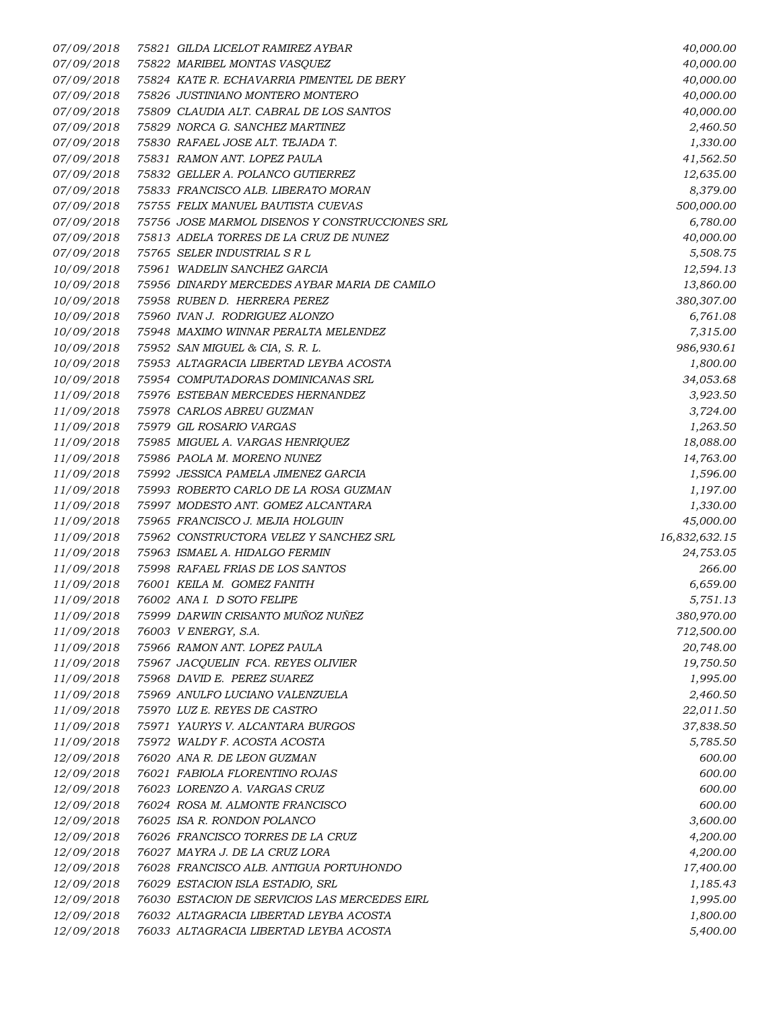*07/09/2018 75821 GILDA LICELOT RAMIREZ AYBAR 40,000.00 07/09/2018 75822 MARIBEL MONTAS VASQUEZ 40,000.00 07/09/2018 75824 KATE R. ECHAVARRIA PIMENTEL DE BERY 40,000.00 07/09/2018 75826 JUSTINIANO MONTERO MONTERO 40,000.00 07/09/2018 75809 CLAUDIA ALT. CABRAL DE LOS SANTOS 40,000.00 07/09/2018 75829 NORCA G. SANCHEZ MARTINEZ 2,460.50 07/09/2018 75830 RAFAEL JOSE ALT. TEJADA T. 1,330.00 07/09/2018 75831 RAMON ANT. LOPEZ PAULA 41,562.50 07/09/2018 75832 GELLER A. POLANCO GUTIERREZ 12,635.00 07/09/2018 75833 FRANCISCO ALB. LIBERATO MORAN 8,379.00 07/09/2018 75755 FELIX MANUEL BAUTISTA CUEVAS 500,000.00 07/09/2018 75756 JOSE MARMOL DISENOS Y CONSTRUCCIONES SRL 6,780.00 07/09/2018 75813 ADELA TORRES DE LA CRUZ DE NUNEZ 40,000.00 07/09/2018 75765 SELER INDUSTRIAL S R L 5,508.75 10/09/2018 75961 WADELIN SANCHEZ GARCIA 12,594.13 10/09/2018 75956 DINARDY MERCEDES AYBAR MARIA DE CAMILO 13,860.00 10/09/2018 75958 RUBEN D. HERRERA PEREZ 380,307.00 10/09/2018 75960 IVAN J. RODRIGUEZ ALONZO 6,761.08 10/09/2018 75948 MAXIMO WINNAR PERALTA MELENDEZ 7,315.00 10/09/2018 75952 SAN MIGUEL & CIA, S. R. L. 986,930.61 10/09/2018 75953 ALTAGRACIA LIBERTAD LEYBA ACOSTA 1,800.00 10/09/2018 75954 COMPUTADORAS DOMINICANAS SRL 34,053.68 11/09/2018 75976 ESTEBAN MERCEDES HERNANDEZ 3,923.50 11/09/2018 75978 CARLOS ABREU GUZMAN 3,724.00 11/09/2018 75979 GIL ROSARIO VARGAS 1,263.50 11/09/2018 75985 MIGUEL A. VARGAS HENRIQUEZ 18,088.00 11/09/2018 75986 PAOLA M. MORENO NUNEZ 14,763.00 11/09/2018 75992 JESSICA PAMELA JIMENEZ GARCIA 1,596.00 11/09/2018 75993 ROBERTO CARLO DE LA ROSA GUZMAN 1,197.00 11/09/2018 75997 MODESTO ANT. GOMEZ ALCANTARA 1,330.00 11/09/2018 75965 FRANCISCO J. MEJIA HOLGUIN 45,000.00 11/09/2018 75962 CONSTRUCTORA VELEZ Y SANCHEZ SRL 16,832,632.15 11/09/2018 75963 ISMAEL A. HIDALGO FERMIN 24,753.05 11/09/2018 75998 RAFAEL FRIAS DE LOS SANTOS 266.00 11/09/2018 76001 KEILA M. GOMEZ FANITH 6,659.00 11/09/2018 76002 ANA I. D SOTO FELIPE 5,751.13 11/09/2018 75999 DARWIN CRISANTO MUÑOZ NUÑEZ 380,970.00 11/09/2018 76003 V ENERGY, S.A. 712,500.00 11/09/2018 75966 RAMON ANT. LOPEZ PAULA 20,748.00 11/09/2018 75967 JACQUELIN FCA. REYES OLIVIER 19,750.50 11/09/2018 75968 DAVID E. PEREZ SUAREZ 1,995.00 11/09/2018 75969 ANULFO LUCIANO VALENZUELA 2,460.50 11/09/2018 75970 LUZ E. REYES DE CASTRO 22,011.50 11/09/2018 75971 YAURYS V. ALCANTARA BURGOS 37,838.50 11/09/2018 75972 WALDY F. ACOSTA ACOSTA 5,785.50 12/09/2018 76020 ANA R. DE LEON GUZMAN 600.00 12/09/2018 76021 FABIOLA FLORENTINO ROJAS 600.00 12/09/2018 76023 LORENZO A. VARGAS CRUZ 600.00 12/09/2018 76024 ROSA M. ALMONTE FRANCISCO 600.00 12/09/2018 76025 ISA R. RONDON POLANCO 3,600.00 12/09/2018 76026 FRANCISCO TORRES DE LA CRUZ 4,200.00 12/09/2018 76027 MAYRA J. DE LA CRUZ LORA 4,200.00 12/09/2018 76028 FRANCISCO ALB. ANTIGUA PORTUHONDO 17,400.00 12/09/2018 76029 ESTACION ISLA ESTADIO, SRL 1,185.43 12/09/2018 76030 ESTACION DE SERVICIOS LAS MERCEDES EIRL 1,995.00 12/09/2018 76032 ALTAGRACIA LIBERTAD LEYBA ACOSTA 1,800.00 12/09/2018 76033 ALTAGRACIA LIBERTAD LEYBA ACOSTA 5,400.00*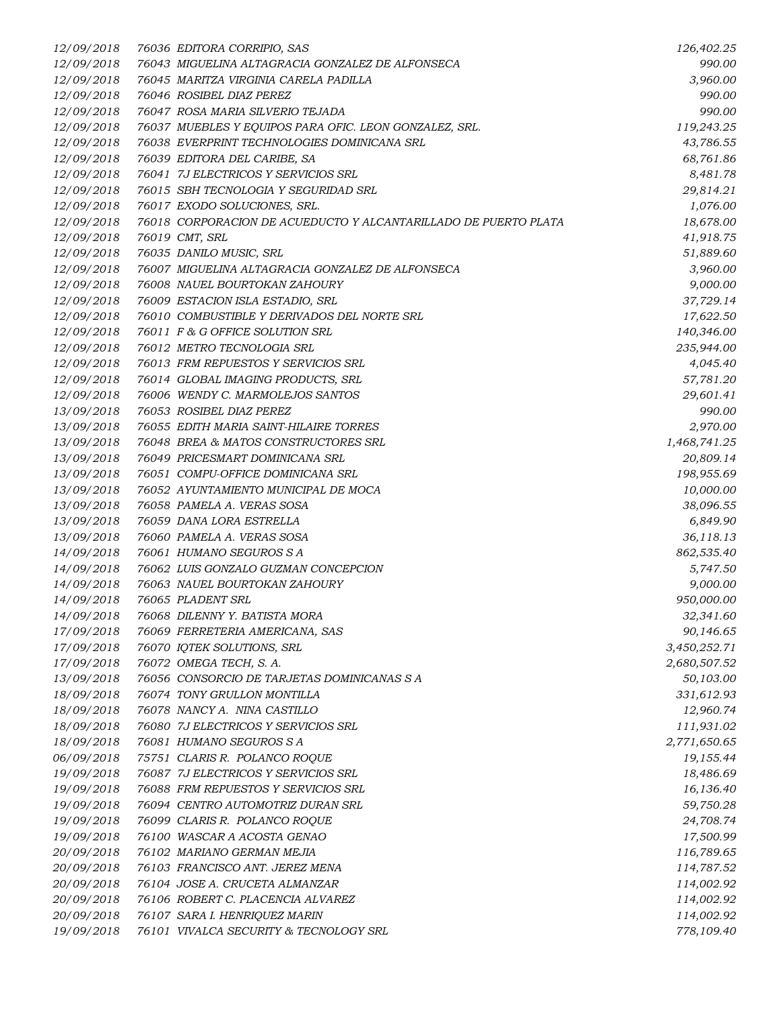| 12/09/2018 | 76036 EDITORA CORRIPIO, SAS                                     | 126,402.25   |
|------------|-----------------------------------------------------------------|--------------|
| 12/09/2018 | 76043 MIGUELINA ALTAGRACIA GONZALEZ DE ALFONSECA                | 990.00       |
| 12/09/2018 | 76045 MARITZA VIRGINIA CARELA PADILLA                           | 3,960.00     |
| 12/09/2018 | 76046 ROSIBEL DIAZ PEREZ                                        | 990.00       |
| 12/09/2018 | 76047 ROSA MARIA SILVERIO TEJADA                                | 990.00       |
| 12/09/2018 | 76037 MUEBLES Y EQUIPOS PARA OFIC. LEON GONZALEZ, SRL.          | 119,243.25   |
| 12/09/2018 | 76038 EVERPRINT TECHNOLOGIES DOMINICANA SRL                     | 43,786.55    |
| 12/09/2018 | 76039 EDITORA DEL CARIBE, SA                                    | 68,761.86    |
| 12/09/2018 | 76041 7J ELECTRICOS Y SERVICIOS SRL                             | 8,481.78     |
| 12/09/2018 | 76015 SBH TECNOLOGIA Y SEGURIDAD SRL                            | 29,814.21    |
| 12/09/2018 | 76017 EXODO SOLUCIONES, SRL.                                    | 1,076.00     |
| 12/09/2018 | 76018 CORPORACION DE ACUEDUCTO Y ALCANTARILLADO DE PUERTO PLATA | 18,678.00    |
| 12/09/2018 | 76019 CMT, SRL                                                  | 41,918.75    |
| 12/09/2018 | 76035 DANILO MUSIC, SRL                                         | 51,889.60    |
| 12/09/2018 | 76007 MIGUELINA ALTAGRACIA GONZALEZ DE ALFONSECA                | 3,960.00     |
| 12/09/2018 | 76008 NAUEL BOURTOKAN ZAHOURY                                   | 9,000.00     |
| 12/09/2018 | 76009 ESTACION ISLA ESTADIO, SRL                                | 37,729.14    |
| 12/09/2018 | 76010 COMBUSTIBLE Y DERIVADOS DEL NORTE SRL                     | 17,622.50    |
| 12/09/2018 | 76011 F & G OFFICE SOLUTION SRL                                 | 140,346.00   |
|            | 76012 METRO TECNOLOGIA SRL                                      |              |
| 12/09/2018 |                                                                 | 235,944.00   |
| 12/09/2018 | 76013 FRM REPUESTOS Y SERVICIOS SRL                             | 4,045.40     |
| 12/09/2018 | 76014 GLOBAL IMAGING PRODUCTS, SRL                              | 57,781.20    |
| 12/09/2018 | 76006 WENDY C. MARMOLEJOS SANTOS                                | 29,601.41    |
| 13/09/2018 | 76053 ROSIBEL DIAZ PEREZ                                        | 990.00       |
| 13/09/2018 | 76055 EDITH MARIA SAINT-HILAIRE TORRES                          | 2,970.00     |
| 13/09/2018 | 76048 BREA & MATOS CONSTRUCTORES SRL                            | 1,468,741.25 |
| 13/09/2018 | 76049 PRICESMART DOMINICANA SRL                                 | 20,809.14    |
| 13/09/2018 | 76051 COMPU-OFFICE DOMINICANA SRL                               | 198,955.69   |
| 13/09/2018 | 76052 AYUNTAMIENTO MUNICIPAL DE MOCA                            | 10,000.00    |
| 13/09/2018 | 76058 PAMELA A. VERAS SOSA                                      | 38,096.55    |
| 13/09/2018 | 76059 DANA LORA ESTRELLA                                        | 6,849.90     |
| 13/09/2018 | 76060 PAMELA A. VERAS SOSA                                      | 36,118.13    |
| 14/09/2018 | 76061 HUMANO SEGUROS S A                                        | 862,535.40   |
| 14/09/2018 | 76062 LUIS GONZALO GUZMAN CONCEPCION                            | 5,747.50     |
| 14/09/2018 | 76063 NAUEL BOURTOKAN ZAHOURY                                   | 9,000.00     |
| 14/09/2018 | 76065 PLADENT SRL                                               | 950,000.00   |
| 14/09/2018 | 76068 DILENNY Y. BATISTA MORA                                   | 32,341.60    |
| 17/09/2018 | 76069 FERRETERIA AMERICANA, SAS                                 | 90,146.65    |
| 17/09/2018 | 76070 IQTEK SOLUTIONS, SRL                                      | 3,450,252.71 |
| 17/09/2018 | 76072 OMEGA TECH, S. A.                                         | 2,680,507.52 |
| 13/09/2018 | 76056 CONSORCIO DE TARJETAS DOMINICANAS S A                     | 50,103.00    |
| 18/09/2018 | 76074 TONY GRULLON MONTILLA                                     | 331,612.93   |
| 18/09/2018 | 76078 NANCY A. NINA CASTILLO                                    | 12,960.74    |
| 18/09/2018 | 76080 7J ELECTRICOS Y SERVICIOS SRL                             | 111,931.02   |
| 18/09/2018 | 76081 HUMANO SEGUROS S A                                        | 2,771,650.65 |
| 06/09/2018 | 75751 CLARIS R. POLANCO ROQUE                                   | 19,155.44    |
| 19/09/2018 | 76087 7J ELECTRICOS Y SERVICIOS SRL                             | 18,486.69    |
| 19/09/2018 | 76088 FRM REPUESTOS Y SERVICIOS SRL                             | 16,136.40    |
| 19/09/2018 | 76094 CENTRO AUTOMOTRIZ DURAN SRL                               | 59,750.28    |
| 19/09/2018 | 76099 CLARIS R. POLANCO ROQUE                                   | 24,708.74    |
| 19/09/2018 | 76100 WASCAR A ACOSTA GENAO                                     | 17,500.99    |
| 20/09/2018 | 76102 MARIANO GERMAN MEJIA                                      | 116,789.65   |
| 20/09/2018 | 76103 FRANCISCO ANT. JEREZ MENA                                 | 114,787.52   |
| 20/09/2018 | 76104 JOSE A. CRUCETA ALMANZAR                                  | 114,002.92   |
| 20/09/2018 | 76106 ROBERT C. PLACENCIA ALVAREZ                               | 114,002.92   |
| 20/09/2018 | 76107 SARA I. HENRIQUEZ MARIN                                   | 114,002.92   |
| 19/09/2018 | 76101 VIVALCA SECURITY & TECNOLOGY SRL                          | 778,109.40   |
|            |                                                                 |              |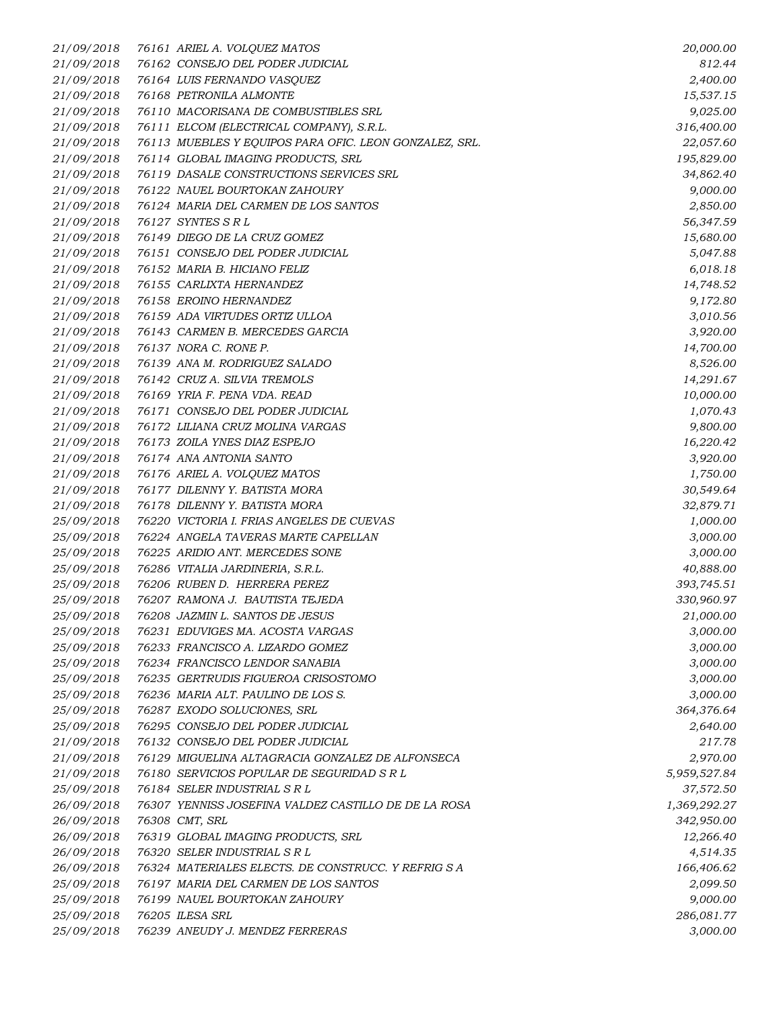*21/09/2018 76161 ARIEL A. VOLQUEZ MATOS 20,000.00 21/09/2018 76162 CONSEJO DEL PODER JUDICIAL 812.44 21/09/2018 76164 LUIS FERNANDO VASQUEZ 2,400.00 21/09/2018 76168 PETRONILA ALMONTE 15,537.15 21/09/2018 76110 MACORISANA DE COMBUSTIBLES SRL 9,025.00 21/09/2018 76111 ELCOM (ELECTRICAL COMPANY), S.R.L. 316,400.00 21/09/2018 76113 MUEBLES Y EQUIPOS PARA OFIC. LEON GONZALEZ, SRL. 22,057.60 21/09/2018 76114 GLOBAL IMAGING PRODUCTS, SRL 195,829.00 21/09/2018 76119 DASALE CONSTRUCTIONS SERVICES SRL 34,862.40 21/09/2018 76122 NAUEL BOURTOKAN ZAHOURY 9,000.00 21/09/2018 76124 MARIA DEL CARMEN DE LOS SANTOS 2,850.00 21/09/2018 76127 SYNTES S R L 56,347.59 21/09/2018 76149 DIEGO DE LA CRUZ GOMEZ 15,680.00 21/09/2018 76151 CONSEJO DEL PODER JUDICIAL 5,047.88 21/09/2018 76152 MARIA B. HICIANO FELIZ 6,018.18 21/09/2018 76155 CARLIXTA HERNANDEZ 14,748.52 21/09/2018 76158 EROINO HERNANDEZ 9,172.80 21/09/2018 76159 ADA VIRTUDES ORTIZ ULLOA 3,010.56 21/09/2018 76143 CARMEN B. MERCEDES GARCIA 3,920.00 21/09/2018 76137 NORA C. RONE P. 14,700.00 21/09/2018 76139 ANA M. RODRIGUEZ SALADO 8,526.00 21/09/2018 76142 CRUZ A. SILVIA TREMOLS 14,291.67 21/09/2018 76169 YRIA F. PENA VDA. READ 10,000.00 21/09/2018 76171 CONSEJO DEL PODER JUDICIAL 1,070.43 21/09/2018 76172 LILIANA CRUZ MOLINA VARGAS 9,800.00 21/09/2018 76173 ZOILA YNES DIAZ ESPEJO 16,220.42 21/09/2018 76174 ANA ANTONIA SANTO 3,920.00 21/09/2018 76176 ARIEL A. VOLQUEZ MATOS 1,750.00 21/09/2018 76177 DILENNY Y. BATISTA MORA 30,549.64 21/09/2018 76178 DILENNY Y. BATISTA MORA 32,879.71 25/09/2018 76220 VICTORIA I. FRIAS ANGELES DE CUEVAS 1,000.00 25/09/2018 76224 ANGELA TAVERAS MARTE CAPELLAN 3,000.00 25/09/2018 76225 ARIDIO ANT. MERCEDES SONE 3,000.00 25/09/2018 76286 VITALIA JARDINERIA, S.R.L. 40,888.00 25/09/2018 76206 RUBEN D. HERRERA PEREZ 393,745.51 25/09/2018 76207 RAMONA J. BAUTISTA TEJEDA 330,960.97 25/09/2018 76208 JAZMIN L. SANTOS DE JESUS 21,000.00 25/09/2018 76231 EDUVIGES MA. ACOSTA VARGAS 3,000.00 25/09/2018 76233 FRANCISCO A. LIZARDO GOMEZ 3,000.00 25/09/2018 76234 FRANCISCO LENDOR SANABIA 3,000.00 25/09/2018 76235 GERTRUDIS FIGUEROA CRISOSTOMO 3,000.00 25/09/2018 76236 MARIA ALT. PAULINO DE LOS S. 3,000.00 25/09/2018 76287 EXODO SOLUCIONES, SRL 364,376.64 25/09/2018 76295 CONSEJO DEL PODER JUDICIAL 2,640.00 21/09/2018 76132 CONSEJO DEL PODER JUDICIAL 217.78 21/09/2018 76129 MIGUELINA ALTAGRACIA GONZALEZ DE ALFONSECA 2,970.00 21/09/2018 76180 SERVICIOS POPULAR DE SEGURIDAD S R L 5,959,527.84 25/09/2018 76184 SELER INDUSTRIAL S R L 37,572.50 26/09/2018 76307 YENNISS JOSEFINA VALDEZ CASTILLO DE DE LA ROSA 1,369,292.27 26/09/2018 76308 CMT, SRL 342,950.00 26/09/2018 76319 GLOBAL IMAGING PRODUCTS, SRL 12,266.40 26/09/2018 76320 SELER INDUSTRIAL S R L 4,514.35 26/09/2018 76324 MATERIALES ELECTS. DE CONSTRUCC. Y REFRIG S A 166,406.62 25/09/2018 76197 MARIA DEL CARMEN DE LOS SANTOS 2,099.50 25/09/2018 76199 NAUEL BOURTOKAN ZAHOURY 9,000.00 25/09/2018 76205 ILESA SRL 286,081.77 25/09/2018 76239 ANEUDY J. MENDEZ FERRERAS 3,000.00*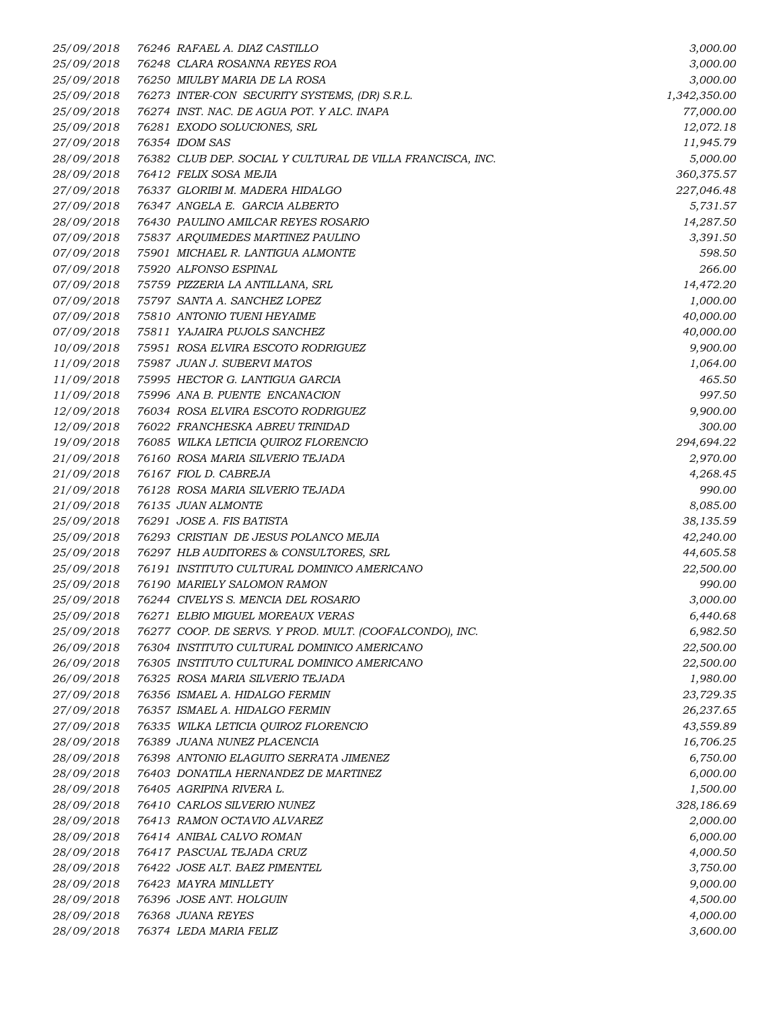| 25/09/2018 | 76246 RAFAEL A. DIAZ CASTILLO                              | 3,000.00     |
|------------|------------------------------------------------------------|--------------|
| 25/09/2018 | 76248 CLARA ROSANNA REYES ROA                              | 3,000.00     |
| 25/09/2018 | 76250 MIULBY MARIA DE LA ROSA                              | 3,000.00     |
| 25/09/2018 | 76273 INTER-CON SECURITY SYSTEMS, (DR) S.R.L.              | 1,342,350.00 |
| 25/09/2018 | 76274 INST. NAC. DE AGUA POT. Y ALC. INAPA                 | 77,000.00    |
| 25/09/2018 | 76281 EXODO SOLUCIONES, SRL                                | 12,072.18    |
| 27/09/2018 | 76354 IDOM SAS                                             | 11,945.79    |
| 28/09/2018 | 76382 CLUB DEP. SOCIAL Y CULTURAL DE VILLA FRANCISCA, INC. | 5,000.00     |
| 28/09/2018 | 76412 FELIX SOSA MEJIA                                     | 360,375.57   |
| 27/09/2018 | 76337 GLORIBI M. MADERA HIDALGO                            | 227,046.48   |
| 27/09/2018 | 76347 ANGELA E. GARCIA ALBERTO                             | 5,731.57     |
| 28/09/2018 | 76430 PAULINO AMILCAR REYES ROSARIO                        | 14,287.50    |
| 07/09/2018 | 75837 ARQUIMEDES MARTINEZ PAULINO                          | 3,391.50     |
| 07/09/2018 | 75901 MICHAEL R. LANTIGUA ALMONTE                          | 598.50       |
| 07/09/2018 | 75920 ALFONSO ESPINAL                                      | 266.00       |
| 07/09/2018 | 75759 PIZZERIA LA ANTILLANA, SRL                           | 14,472.20    |
| 07/09/2018 | 75797 SANTA A. SANCHEZ LOPEZ                               | 1,000.00     |
| 07/09/2018 | 75810 ANTONIO TUENI HEYAIME                                | 40,000.00    |
| 07/09/2018 | 75811 YAJAIRA PUJOLS SANCHEZ                               | 40,000.00    |
| 10/09/2018 | 75951 ROSA ELVIRA ESCOTO RODRIGUEZ                         | 9,900.00     |
| 11/09/2018 | 75987 JUAN J. SUBERVI MATOS                                | 1,064.00     |
| 11/09/2018 | 75995 HECTOR G. LANTIGUA GARCIA                            | 465.50       |
| 11/09/2018 | 75996 ANA B. PUENTE ENCANACION                             | 997.50       |
| 12/09/2018 | 76034 ROSA ELVIRA ESCOTO RODRIGUEZ                         | 9,900.00     |
| 12/09/2018 | 76022 FRANCHESKA ABREU TRINIDAD                            | 300.00       |
| 19/09/2018 | 76085 WILKA LETICIA QUIROZ FLORENCIO                       | 294,694.22   |
| 21/09/2018 | 76160 ROSA MARIA SILVERIO TEJADA                           | 2,970.00     |
| 21/09/2018 | 76167 FIOL D. CABREJA                                      | 4,268.45     |
| 21/09/2018 | 76128 ROSA MARIA SILVERIO TEJADA                           | 990.00       |
| 21/09/2018 | 76135 JUAN ALMONTE                                         | 8,085.00     |
| 25/09/2018 | 76291 JOSE A. FIS BATISTA                                  | 38,135.59    |
| 25/09/2018 | 76293 CRISTIAN DE JESUS POLANCO MEJIA                      | 42,240.00    |
| 25/09/2018 | 76297 HLB AUDITORES & CONSULTORES, SRL                     | 44,605.58    |
| 25/09/2018 | 76191 INSTITUTO CULTURAL DOMINICO AMERICANO                | 22,500.00    |
| 25/09/2018 | 76190 MARIELY SALOMON RAMON                                | 990.00       |
| 25/09/2018 | 76244 CIVELYS S. MENCIA DEL ROSARIO                        | 3,000.00     |
| 25/09/2018 | 76271 ELBIO MIGUEL MOREAUX VERAS                           | 6,440.68     |
| 25/09/2018 | 76277 COOP. DE SERVS. Y PROD. MULT. (COOFALCONDO), INC.    | 6,982.50     |
| 26/09/2018 | 76304 INSTITUTO CULTURAL DOMINICO AMERICANO                | 22,500.00    |
| 26/09/2018 | 76305 INSTITUTO CULTURAL DOMINICO AMERICANO                | 22,500.00    |
| 26/09/2018 | 76325 ROSA MARIA SILVERIO TEJADA                           | 1,980.00     |
| 27/09/2018 | 76356 ISMAEL A. HIDALGO FERMIN                             | 23,729.35    |
| 27/09/2018 | 76357 ISMAEL A. HIDALGO FERMIN                             | 26,237.65    |
| 27/09/2018 | 76335 WILKA LETICIA QUIROZ FLORENCIO                       | 43,559.89    |
| 28/09/2018 | 76389 JUANA NUNEZ PLACENCIA                                | 16,706.25    |
| 28/09/2018 | 76398 ANTONIO ELAGUITO SERRATA JIMENEZ                     | 6,750.00     |
| 28/09/2018 | 76403 DONATILA HERNANDEZ DE MARTINEZ                       | 6,000.00     |
| 28/09/2018 | 76405 AGRIPINA RIVERA L.                                   | 1,500.00     |
| 28/09/2018 | 76410 CARLOS SILVERIO NUNEZ                                | 328,186.69   |
| 28/09/2018 | 76413 RAMON OCTAVIO ALVAREZ                                | 2,000.00     |
| 28/09/2018 | 76414 ANIBAL CALVO ROMAN                                   | 6,000.00     |
| 28/09/2018 | 76417 PASCUAL TEJADA CRUZ                                  | 4,000.50     |
| 28/09/2018 | 76422 JOSE ALT. BAEZ PIMENTEL                              | 3,750.00     |
| 28/09/2018 | 76423 MAYRA MINLLETY                                       | 9,000.00     |
| 28/09/2018 | 76396 JOSE ANT. HOLGUIN                                    | 4,500.00     |
| 28/09/2018 | 76368 JUANA REYES                                          | 4,000.00     |
| 28/09/2018 | 76374 LEDA MARIA FELIZ                                     | 3,600.00     |
|            |                                                            |              |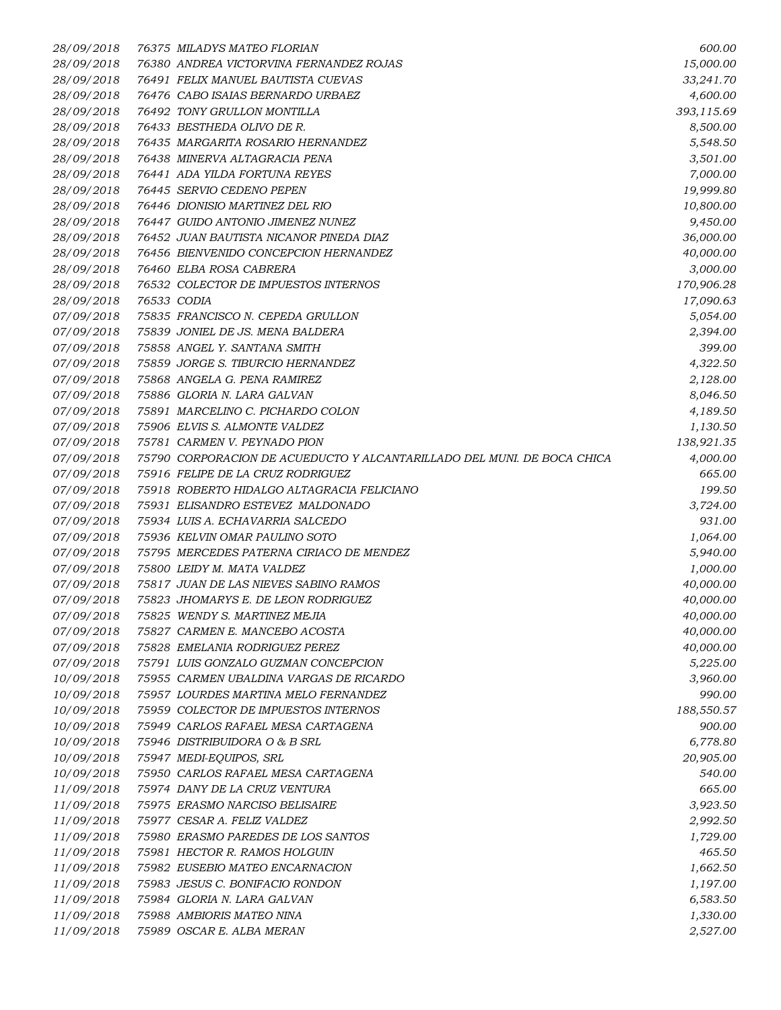| 28/09/2018 | 76375 MILADYS MATEO FLORIAN                                             | 600.00     |
|------------|-------------------------------------------------------------------------|------------|
| 28/09/2018 | 76380 ANDREA VICTORVINA FERNANDEZ ROJAS                                 | 15,000.00  |
| 28/09/2018 | 76491 FELIX MANUEL BAUTISTA CUEVAS                                      | 33,241.70  |
| 28/09/2018 | 76476 CABO ISAIAS BERNARDO URBAEZ                                       | 4,600.00   |
| 28/09/2018 | 76492 TONY GRULLON MONTILLA                                             | 393,115.69 |
| 28/09/2018 | 76433 BESTHEDA OLIVO DE R.                                              | 8,500.00   |
| 28/09/2018 | 76435 MARGARITA ROSARIO HERNANDEZ                                       | 5,548.50   |
| 28/09/2018 | 76438 MINERVA ALTAGRACIA PENA                                           | 3,501.00   |
| 28/09/2018 | 76441 ADA YILDA FORTUNA REYES                                           | 7,000.00   |
| 28/09/2018 | 76445 SERVIO CEDENO PEPEN                                               | 19,999.80  |
| 28/09/2018 | 76446 DIONISIO MARTINEZ DEL RIO                                         | 10,800.00  |
| 28/09/2018 | 76447 GUIDO ANTONIO JIMENEZ NUNEZ                                       | 9,450.00   |
| 28/09/2018 | 76452 JUAN BAUTISTA NICANOR PINEDA DIAZ                                 | 36,000.00  |
| 28/09/2018 | 76456 BIENVENIDO CONCEPCION HERNANDEZ                                   | 40,000.00  |
| 28/09/2018 | 76460 ELBA ROSA CABRERA                                                 | 3,000.00   |
| 28/09/2018 | 76532 COLECTOR DE IMPUESTOS INTERNOS                                    | 170,906.28 |
| 28/09/2018 | 76533 CODIA                                                             | 17,090.63  |
| 07/09/2018 | 75835 FRANCISCO N. CEPEDA GRULLON                                       | 5,054.00   |
| 07/09/2018 | 75839 JONIEL DE JS. MENA BALDERA                                        | 2,394.00   |
| 07/09/2018 | 75858 ANGEL Y. SANTANA SMITH                                            | 399.00     |
| 07/09/2018 | 75859 JORGE S. TIBURCIO HERNANDEZ                                       | 4,322.50   |
| 07/09/2018 | 75868 ANGELA G. PENA RAMIREZ                                            |            |
|            |                                                                         | 2,128.00   |
| 07/09/2018 | 75886 GLORIA N. LARA GALVAN                                             | 8,046.50   |
| 07/09/2018 | 75891 MARCELINO C. PICHARDO COLON                                       | 4,189.50   |
| 07/09/2018 | 75906 ELVIS S. ALMONTE VALDEZ                                           | 1,130.50   |
| 07/09/2018 | 75781 CARMEN V. PEYNADO PION                                            | 138,921.35 |
| 07/09/2018 | 75790 CORPORACION DE ACUEDUCTO Y ALCANTARILLADO DEL MUNI. DE BOCA CHICA | 4,000.00   |
| 07/09/2018 | 75916 FELIPE DE LA CRUZ RODRIGUEZ                                       | 665.00     |
| 07/09/2018 | 75918 ROBERTO HIDALGO ALTAGRACIA FELICIANO                              | 199.50     |
| 07/09/2018 | 75931 ELISANDRO ESTEVEZ MALDONADO                                       | 3,724.00   |
| 07/09/2018 | 75934 LUIS A. ECHAVARRIA SALCEDO                                        | 931.00     |
| 07/09/2018 | 75936 KELVIN OMAR PAULINO SOTO                                          | 1,064.00   |
| 07/09/2018 | 75795 MERCEDES PATERNA CIRIACO DE MENDEZ                                | 5,940.00   |
| 07/09/2018 | 75800 LEIDY M. MATA VALDEZ                                              | 1,000.00   |
| 07/09/2018 | 75817 JUAN DE LAS NIEVES SABINO RAMOS                                   | 40,000.00  |
| 07/09/2018 | 75823 JHOMARYS E. DE LEON RODRIGUEZ                                     | 40,000.00  |
| 07/09/2018 | 75825 WENDY S. MARTINEZ MEJIA                                           | 40,000.00  |
| 07/09/2018 | 75827 CARMEN E. MANCEBO ACOSTA                                          | 40,000.00  |
| 07/09/2018 | 75828 EMELANIA RODRIGUEZ PEREZ                                          | 40,000.00  |
| 07/09/2018 | 75791 LUIS GONZALO GUZMAN CONCEPCION                                    | 5,225.00   |
| 10/09/2018 | 75955 CARMEN UBALDINA VARGAS DE RICARDO                                 | 3,960.00   |
| 10/09/2018 | 75957 LOURDES MARTINA MELO FERNANDEZ                                    | 990.00     |
| 10/09/2018 | 75959 COLECTOR DE IMPUESTOS INTERNOS                                    | 188,550.57 |
| 10/09/2018 | 75949 CARLOS RAFAEL MESA CARTAGENA                                      | 900.00     |
| 10/09/2018 | 75946 DISTRIBUIDORA O & B SRL                                           | 6,778.80   |
| 10/09/2018 | 75947 MEDI-EQUIPOS, SRL                                                 | 20,905.00  |
| 10/09/2018 | 75950 CARLOS RAFAEL MESA CARTAGENA                                      | 540.00     |
| 11/09/2018 | 75974 DANY DE LA CRUZ VENTURA                                           | 665.00     |
| 11/09/2018 | 75975 ERASMO NARCISO BELISAIRE                                          | 3,923.50   |
| 11/09/2018 | 75977 CESAR A. FELIZ VALDEZ                                             | 2,992.50   |
| 11/09/2018 | 75980 ERASMO PAREDES DE LOS SANTOS                                      | 1,729.00   |
| 11/09/2018 | 75981 HECTOR R. RAMOS HOLGUIN                                           | 465.50     |
| 11/09/2018 | 75982 EUSEBIO MATEO ENCARNACION                                         | 1,662.50   |
| 11/09/2018 | 75983 JESUS C. BONIFACIO RONDON                                         | 1,197.00   |
| 11/09/2018 | 75984 GLORIA N. LARA GALVAN                                             | 6,583.50   |
| 11/09/2018 | 75988 AMBIORIS MATEO NINA                                               | 1,330.00   |
| 11/09/2018 | 75989 OSCAR E. ALBA MERAN                                               | 2,527.00   |
|            |                                                                         |            |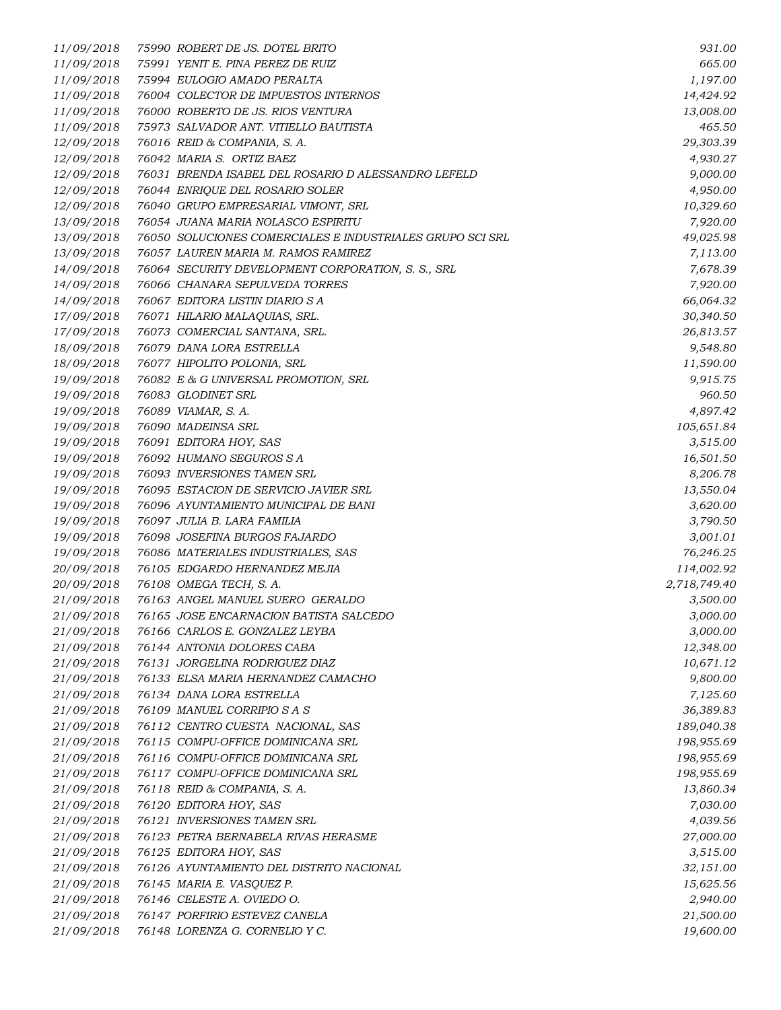| 11/09/2018               | 75990 ROBERT DE JS. DOTEL BRITO                           | 931.00                     |
|--------------------------|-----------------------------------------------------------|----------------------------|
| 11/09/2018               | 75991 YENIT E. PINA PEREZ DE RUIZ                         | 665.00                     |
| 11/09/2018               | 75994 EULOGIO AMADO PERALTA                               | 1,197.00                   |
| 11/09/2018               | 76004 COLECTOR DE IMPUESTOS INTERNOS                      | 14,424.92                  |
| 11/09/2018               | 76000 ROBERTO DE JS. RIOS VENTURA                         | 13,008.00                  |
| 11/09/2018               | 75973 SALVADOR ANT. VITIELLO BAUTISTA                     | 465.50                     |
| 12/09/2018               | 76016 REID & COMPANIA, S. A.                              | 29,303.39                  |
| 12/09/2018               | 76042 MARIA S. ORTIZ BAEZ                                 | 4,930.27                   |
| 12/09/2018               | 76031 BRENDA ISABEL DEL ROSARIO D ALESSANDRO LEFELD       | 9,000.00                   |
| 12/09/2018               | 76044 ENRIQUE DEL ROSARIO SOLER                           | 4,950.00                   |
| 12/09/2018               | 76040 GRUPO EMPRESARIAL VIMONT, SRL                       | 10,329.60                  |
| 13/09/2018               | 76054 JUANA MARIA NOLASCO ESPIRITU                        | 7,920.00                   |
| 13/09/2018               | 76050 SOLUCIONES COMERCIALES E INDUSTRIALES GRUPO SCI SRL | 49,025.98                  |
| 13/09/2018               | 76057 LAUREN MARIA M. RAMOS RAMIREZ                       | 7,113.00                   |
| 14/09/2018               | 76064 SECURITY DEVELOPMENT CORPORATION, S. S., SRL        | 7,678.39                   |
| 14/09/2018               | 76066 CHANARA SEPULVEDA TORRES                            | 7,920.00                   |
| 14/09/2018               | 76067 EDITORA LISTIN DIARIO S A                           | 66,064.32                  |
| 17/09/2018               | 76071 HILARIO MALAQUIAS, SRL.                             | 30,340.50                  |
| 17/09/2018               | 76073 COMERCIAL SANTANA, SRL.                             | 26,813.57                  |
| 18/09/2018               | 76079 DANA LORA ESTRELLA                                  | 9,548.80                   |
| 18/09/2018               | 76077 HIPOLITO POLONIA, SRL                               | 11,590.00                  |
| 19/09/2018               | 76082 E & G UNIVERSAL PROMOTION, SRL                      | 9,915.75                   |
| 19/09/2018               | 76083 GLODINET SRL                                        | 960.50                     |
| 19/09/2018               | 76089 VIAMAR, S. A.                                       | 4,897.42                   |
| 19/09/2018               | 76090 MADEINSA SRL                                        | 105,651.84                 |
| 19/09/2018               | 76091 EDITORA HOY, SAS                                    | 3,515.00                   |
| 19/09/2018               | 76092 HUMANO SEGUROS S A                                  |                            |
| 19/09/2018               | 76093 INVERSIONES TAMEN SRL                               | 16,501.50<br>8,206.78      |
| 19/09/2018               | 76095 ESTACION DE SERVICIO JAVIER SRL                     | 13,550.04                  |
| 19/09/2018               | 76096 AYUNTAMIENTO MUNICIPAL DE BANI                      | 3,620.00                   |
| 19/09/2018               | 76097 JULIA B. LARA FAMILIA                               | 3,790.50                   |
| 19/09/2018               | 76098 JOSEFINA BURGOS FAJARDO                             | 3,001.01                   |
| 19/09/2018               | 76086 MATERIALES INDUSTRIALES, SAS                        |                            |
| 20/09/2018               | 76105 EDGARDO HERNANDEZ MEJIA                             | 76,246.25                  |
|                          | 76108 OMEGA TECH, S. A.                                   | 114,002.92<br>2,718,749.40 |
| 20/09/2018<br>21/09/2018 | 76163 ANGEL MANUEL SUERO GERALDO                          | 3,500.00                   |
|                          |                                                           |                            |
| 21/09/2018               | 76165 JOSE ENCARNACION BATISTA SALCEDO                    | 3,000.00                   |
| 21/09/2018               | 76166 CARLOS E. GONZALEZ LEYBA                            | 3,000.00                   |
| 21/09/2018               | 76144 ANTONIA DOLORES CABA                                | 12,348.00                  |
| 21/09/2018               | 76131 JORGELINA RODRIGUEZ DIAZ                            | 10,671.12                  |
| 21/09/2018               | 76133 ELSA MARIA HERNANDEZ CAMACHO                        | 9,800.00                   |
| 21/09/2018               | 76134 DANA LORA ESTRELLA                                  | 7,125.60                   |
| 21/09/2018               | 76109 MANUEL CORRIPIO SAS                                 | 36,389.83                  |
| 21/09/2018               | 76112 CENTRO CUESTA NACIONAL, SAS                         | 189,040.38                 |
| 21/09/2018               | 76115 COMPU-OFFICE DOMINICANA SRL                         | 198,955.69                 |
| 21/09/2018               | 76116 COMPU-OFFICE DOMINICANA SRL                         | 198,955.69                 |
| 21/09/2018               | 76117 COMPU-OFFICE DOMINICANA SRL                         | 198,955.69                 |
| 21/09/2018               | 76118 REID & COMPANIA, S. A.                              | 13,860.34                  |
| 21/09/2018               | 76120 EDITORA HOY, SAS                                    | 7,030.00                   |
| 21/09/2018               | 76121 INVERSIONES TAMEN SRL                               | 4,039.56                   |
| 21/09/2018               | 76123 PETRA BERNABELA RIVAS HERASME                       | 27,000.00                  |
| 21/09/2018               | 76125 EDITORA HOY, SAS                                    | 3,515.00                   |
| 21/09/2018               | 76126 AYUNTAMIENTO DEL DISTRITO NACIONAL                  | 32,151.00                  |
| 21/09/2018               | 76145 MARIA E. VASQUEZ P.                                 | 15,625.56                  |
| 21/09/2018               | 76146 CELESTE A. OVIEDO O.                                | 2,940.00                   |
| 21/09/2018               | 76147 PORFIRIO ESTEVEZ CANELA                             | 21,500.00                  |
| 21/09/2018               | 76148 LORENZA G. CORNELIO Y C.                            | 19,600.00                  |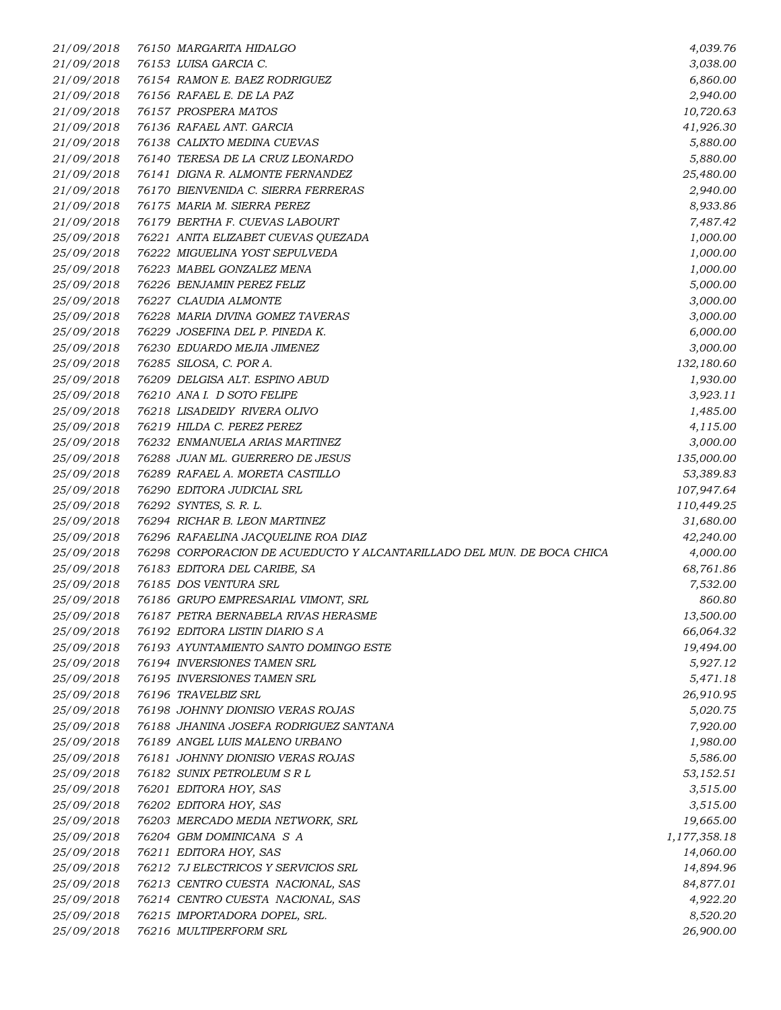*21/09/2018 76150 MARGARITA HIDALGO 4,039.76 21/09/2018 76153 LUISA GARCIA C. 3,038.00 21/09/2018 76154 RAMON E. BAEZ RODRIGUEZ 6,860.00 21/09/2018 76156 RAFAEL E. DE LA PAZ 2,940.00 21/09/2018 76157 PROSPERA MATOS 10,720.63 21/09/2018 76136 RAFAEL ANT. GARCIA 41,926.30 21/09/2018 76138 CALIXTO MEDINA CUEVAS 5,880.00 21/09/2018 76140 TERESA DE LA CRUZ LEONARDO 5,880.00 21/09/2018 76141 DIGNA R. ALMONTE FERNANDEZ 25,480.00 21/09/2018 76170 BIENVENIDA C. SIERRA FERRERAS 2,940.00 21/09/2018 76175 MARIA M. SIERRA PEREZ 8,933.86 21/09/2018 76179 BERTHA F. CUEVAS LABOURT 7,487.42 25/09/2018 76221 ANITA ELIZABET CUEVAS QUEZADA 1,000.00 25/09/2018 76222 MIGUELINA YOST SEPULVEDA 1,000.00 25/09/2018 76223 MABEL GONZALEZ MENA 1,000.00 25/09/2018 76226 BENJAMIN PEREZ FELIZ 5,000.00 25/09/2018 76227 CLAUDIA ALMONTE 3,000.00 25/09/2018 76228 MARIA DIVINA GOMEZ TAVERAS 3,000.00 25/09/2018 76229 JOSEFINA DEL P. PINEDA K. 6,000.00 25/09/2018 76230 EDUARDO MEJIA JIMENEZ 3,000.00 25/09/2018 76285 SILOSA, C. POR A. 132,180.60 25/09/2018 76209 DELGISA ALT. ESPINO ABUD 1,930.00 25/09/2018 76210 ANA I. D SOTO FELIPE 3,923.11 25/09/2018 76218 LISADEIDY RIVERA OLIVO 1,485.00 25/09/2018 76219 HILDA C. PEREZ PEREZ 4,115.00 25/09/2018 76232 ENMANUELA ARIAS MARTINEZ 3,000.00 25/09/2018 76288 JUAN ML. GUERRERO DE JESUS 135,000.00 25/09/2018 76289 RAFAEL A. MORETA CASTILLO 53,389.83 25/09/2018 76290 EDITORA JUDICIAL SRL 107,947.64 25/09/2018 76292 SYNTES, S. R. L. 110,449.25 25/09/2018 76294 RICHAR B. LEON MARTINEZ 31,680.00 25/09/2018 76296 RAFAELINA JACQUELINE ROA DIAZ 42,240.00 25/09/2018 76298 CORPORACION DE ACUEDUCTO Y ALCANTARILLADO DEL MUN. DE BOCA CHICA 4,000.00 25/09/2018 76183 EDITORA DEL CARIBE, SA 68,761.86 25/09/2018 76185 DOS VENTURA SRL 7,532.00 25/09/2018 76186 GRUPO EMPRESARIAL VIMONT, SRL 860.80 25/09/2018 76187 PETRA BERNABELA RIVAS HERASME 13,500.00 25/09/2018 76192 EDITORA LISTIN DIARIO S A 66,064.32 25/09/2018 76193 AYUNTAMIENTO SANTO DOMINGO ESTE 19,494.00 25/09/2018 76194 INVERSIONES TAMEN SRL 5,927.12 25/09/2018 76195 INVERSIONES TAMEN SRL 5,471.18 25/09/2018 76196 TRAVELBIZ SRL 26,910.95 25/09/2018 76198 JOHNNY DIONISIO VERAS ROJAS 5,020.75 25/09/2018 76188 JHANINA JOSEFA RODRIGUEZ SANTANA 7,920.00 25/09/2018 76189 ANGEL LUIS MALENO URBANO 1,980.00 25/09/2018 76181 JOHNNY DIONISIO VERAS ROJAS 5,586.00 25/09/2018 76182 SUNIX PETROLEUM S R L 53,152.51 25/09/2018 76201 EDITORA HOY, SAS 3,515.00 25/09/2018 76202 EDITORA HOY, SAS 3,515.00 25/09/2018 76203 MERCADO MEDIA NETWORK, SRL 19,665.00 25/09/2018 76204 GBM DOMINICANA S A 1,177,358.18 25/09/2018 76211 EDITORA HOY, SAS 14,060.00 25/09/2018 76212 7J ELECTRICOS Y SERVICIOS SRL 14,894.96 25/09/2018 76213 CENTRO CUESTA NACIONAL, SAS 84,877.01 25/09/2018 76214 CENTRO CUESTA NACIONAL, SAS 4,922.20 25/09/2018 76215 IMPORTADORA DOPEL, SRL. 8,520.20 25/09/2018 76216 MULTIPERFORM SRL 26,900.00*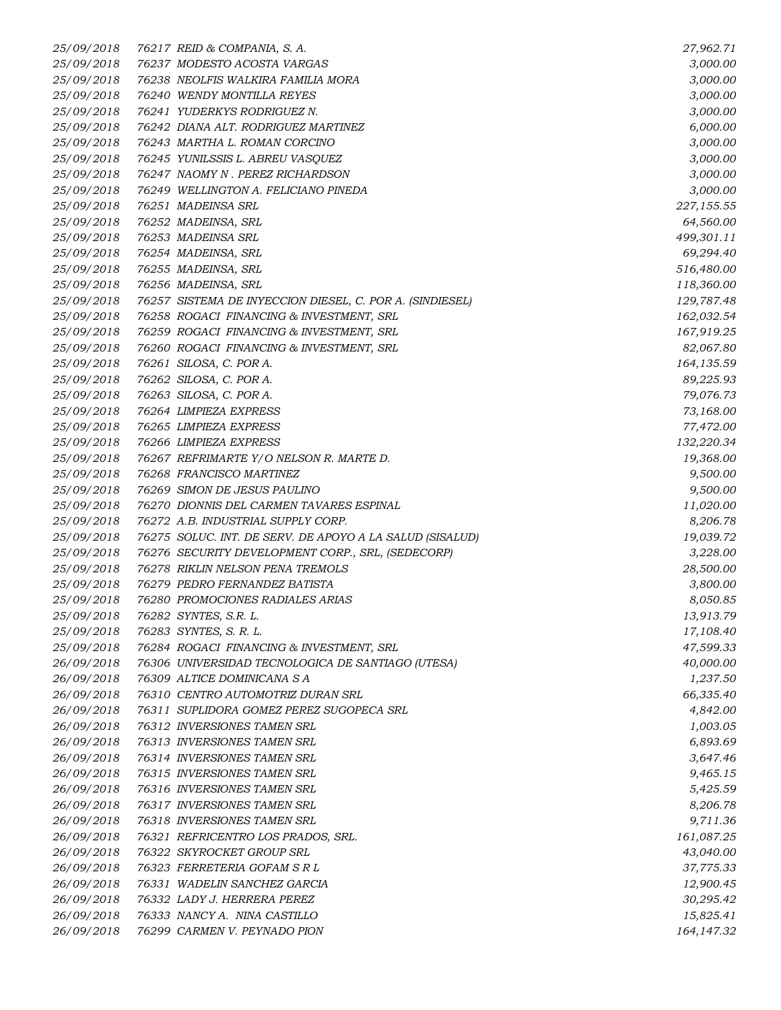*25/09/2018 76217 REID & COMPANIA, S. A. 27,962.71 25/09/2018 76237 MODESTO ACOSTA VARGAS 3,000.00 25/09/2018 76238 NEOLFIS WALKIRA FAMILIA MORA 3,000.00 25/09/2018 76240 WENDY MONTILLA REYES 3,000.00 25/09/2018 76241 YUDERKYS RODRIGUEZ N. 3,000.00 25/09/2018 76242 DIANA ALT. RODRIGUEZ MARTINEZ 6,000.00 25/09/2018 76243 MARTHA L. ROMAN CORCINO 3,000.00 25/09/2018 76245 YUNILSSIS L. ABREU VASQUEZ 3,000.00 25/09/2018 76247 NAOMY N . PEREZ RICHARDSON 3,000.00 25/09/2018 76249 WELLINGTON A. FELICIANO PINEDA 3,000.00 25/09/2018 76251 MADEINSA SRL 227,155.55 25/09/2018 76252 MADEINSA, SRL 64,560.00 25/09/2018 76253 MADEINSA SRL 499,301.11 25/09/2018 76254 MADEINSA, SRL 69,294.40 25/09/2018 76255 MADEINSA, SRL 516,480.00 25/09/2018 76256 MADEINSA, SRL 118,360.00 25/09/2018 76257 SISTEMA DE INYECCION DIESEL, C. POR A. (SINDIESEL) 129,787.48 25/09/2018 76258 ROGACI FINANCING & INVESTMENT, SRL 162,032.54 25/09/2018 76259 ROGACI FINANCING & INVESTMENT, SRL 167,919.25 25/09/2018 76260 ROGACI FINANCING & INVESTMENT, SRL 82,067.80 25/09/2018 76261 SILOSA, C. POR A. 164,135.59 25/09/2018 76262 SILOSA, C. POR A. 89,225.93 25/09/2018 76263 SILOSA, C. POR A. 79,076.73 25/09/2018 76264 LIMPIEZA EXPRESS 73,168.00 25/09/2018 76265 LIMPIEZA EXPRESS 77,472.00 25/09/2018 76266 LIMPIEZA EXPRESS 132,220.34 25/09/2018 76267 REFRIMARTE Y/O NELSON R. MARTE D. 19,368.00 25/09/2018 76268 FRANCISCO MARTINEZ 9,500.00 25/09/2018 76269 SIMON DE JESUS PAULINO 9,500.00 25/09/2018 76270 DIONNIS DEL CARMEN TAVARES ESPINAL 11,020.00 25/09/2018 76272 A.B. INDUSTRIAL SUPPLY CORP. 8,206.78 25/09/2018 76275 SOLUC. INT. DE SERV. DE APOYO A LA SALUD (SISALUD) 19,039.72 25/09/2018 76276 SECURITY DEVELOPMENT CORP., SRL, (SEDECORP) 3,228.00 25/09/2018 76278 RIKLIN NELSON PENA TREMOLS 28,500.00 25/09/2018 76279 PEDRO FERNANDEZ BATISTA 3,800.00 25/09/2018 76280 PROMOCIONES RADIALES ARIAS 8,050.85 25/09/2018 76282 SYNTES, S.R. L. 13,913.79 25/09/2018 76283 SYNTES, S. R. L. 17,108.40 25/09/2018 76284 ROGACI FINANCING & INVESTMENT, SRL 47,599.33 26/09/2018 76306 UNIVERSIDAD TECNOLOGICA DE SANTIAGO (UTESA) 40,000.00 26/09/2018 76309 ALTICE DOMINICANA S A 1,237.50 26/09/2018 76310 CENTRO AUTOMOTRIZ DURAN SRL 66,335.40 26/09/2018 76311 SUPLIDORA GOMEZ PEREZ SUGOPECA SRL 4,842.00 26/09/2018 76312 INVERSIONES TAMEN SRL 1,003.05 26/09/2018 76313 INVERSIONES TAMEN SRL 6,893.69 26/09/2018 76314 INVERSIONES TAMEN SRL 3,647.46 26/09/2018 76315 INVERSIONES TAMEN SRL 9,465.15 26/09/2018 76316 INVERSIONES TAMEN SRL 5,425.59 26/09/2018 76317 INVERSIONES TAMEN SRL 8,206.78 26/09/2018 76318 INVERSIONES TAMEN SRL 9,711.36 26/09/2018 76321 REFRICENTRO LOS PRADOS, SRL. 161,087.25 26/09/2018 76322 SKYROCKET GROUP SRL 43,040.00 26/09/2018 76323 FERRETERIA GOFAM S R L 37,775.33 26/09/2018 76331 WADELIN SANCHEZ GARCIA 12,900.45 26/09/2018 76332 LADY J. HERRERA PEREZ 30,295.42 26/09/2018 76333 NANCY A. NINA CASTILLO 15,825.41 26/09/2018 76299 CARMEN V. PEYNADO PION 164,147.32*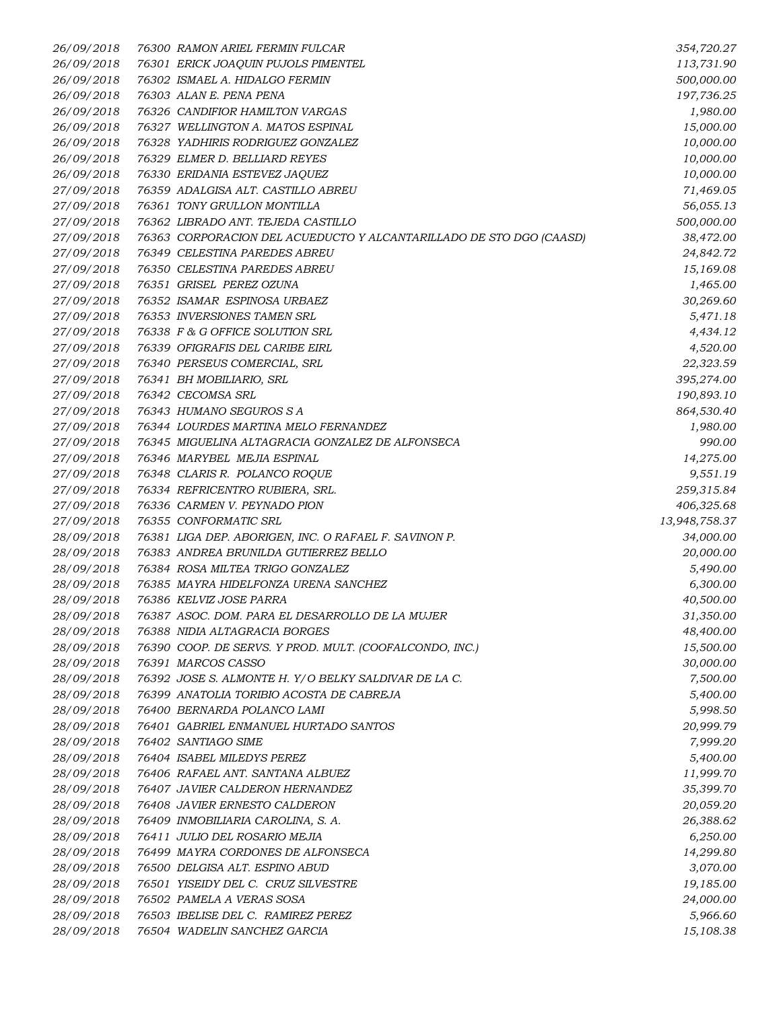| 26/09/2018 | 76300 RAMON ARIEL FERMIN FULCAR                                     | 354,720.27    |
|------------|---------------------------------------------------------------------|---------------|
| 26/09/2018 | 76301 ERICK JOAQUIN PUJOLS PIMENTEL                                 | 113,731.90    |
| 26/09/2018 | 76302 ISMAEL A. HIDALGO FERMIN                                      | 500,000.00    |
| 26/09/2018 | 76303 ALAN E. PENA PENA                                             | 197,736.25    |
| 26/09/2018 | 76326 CANDIFIOR HAMILTON VARGAS                                     | 1,980.00      |
| 26/09/2018 | 76327 WELLINGTON A. MATOS ESPINAL                                   | 15,000.00     |
| 26/09/2018 | 76328 YADHIRIS RODRIGUEZ GONZALEZ                                   | 10,000.00     |
| 26/09/2018 | 76329 ELMER D. BELLIARD REYES                                       | 10,000.00     |
| 26/09/2018 | 76330 ERIDANIA ESTEVEZ JAQUEZ                                       | 10,000.00     |
| 27/09/2018 | 76359 ADALGISA ALT. CASTILLO ABREU                                  | 71,469.05     |
| 27/09/2018 | 76361 TONY GRULLON MONTILLA                                         | 56,055.13     |
| 27/09/2018 | 76362 LIBRADO ANT. TEJEDA CASTILLO                                  | 500,000.00    |
| 27/09/2018 | 76363 CORPORACION DEL ACUEDUCTO Y ALCANTARILLADO DE STO DGO (CAASD) | 38,472.00     |
| 27/09/2018 | 76349 CELESTINA PAREDES ABREU                                       | 24,842.72     |
| 27/09/2018 | 76350 CELESTINA PAREDES ABREU                                       | 15,169.08     |
| 27/09/2018 | 76351 GRISEL PEREZ OZUNA                                            | 1,465.00      |
| 27/09/2018 | 76352 ISAMAR ESPINOSA URBAEZ                                        | 30,269.60     |
| 27/09/2018 | 76353 INVERSIONES TAMEN SRL                                         | 5,471.18      |
| 27/09/2018 | 76338 F & G OFFICE SOLUTION SRL                                     | 4,434.12      |
| 27/09/2018 | 76339 OFIGRAFIS DEL CARIBE EIRL                                     | 4,520.00      |
| 27/09/2018 | 76340 PERSEUS COMERCIAL, SRL                                        | 22,323.59     |
| 27/09/2018 | 76341 BH MOBILIARIO, SRL                                            | 395,274.00    |
| 27/09/2018 | 76342 CECOMSA SRL                                                   | 190,893.10    |
| 27/09/2018 | 76343 HUMANO SEGUROS S A                                            | 864,530.40    |
| 27/09/2018 | 76344 LOURDES MARTINA MELO FERNANDEZ                                | 1,980.00      |
| 27/09/2018 | 76345 MIGUELINA ALTAGRACIA GONZALEZ DE ALFONSECA                    | 990.00        |
| 27/09/2018 | 76346 MARYBEL MEJIA ESPINAL                                         | 14,275.00     |
| 27/09/2018 | 76348 CLARIS R. POLANCO ROQUE                                       | 9,551.19      |
| 27/09/2018 | 76334 REFRICENTRO RUBIERA, SRL.                                     | 259,315.84    |
| 27/09/2018 | 76336 CARMEN V. PEYNADO PION                                        | 406,325.68    |
| 27/09/2018 | 76355 CONFORMATIC SRL                                               | 13,948,758.37 |
| 28/09/2018 | 76381 LIGA DEP. ABORIGEN, INC. O RAFAEL F. SAVINON P.               | 34,000.00     |
| 28/09/2018 | 76383 ANDREA BRUNILDA GUTIERREZ BELLO                               | 20,000.00     |
| 28/09/2018 | 76384 ROSA MILTEA TRIGO GONZALEZ                                    | 5,490.00      |
| 28/09/2018 | 76385 MAYRA HIDELFONZA URENA SANCHEZ                                | 6,300.00      |
| 28/09/2018 | 76386 KELVIZ JOSE PARRA                                             | 40,500.00     |
| 28/09/2018 | 76387 ASOC. DOM. PARA EL DESARROLLO DE LA MUJER                     | 31,350.00     |
| 28/09/2018 | 76388 NIDIA ALTAGRACIA BORGES                                       | 48,400.00     |
| 28/09/2018 | 76390 COOP. DE SERVS. Y PROD. MULT. (COOFALCONDO, INC.)             | 15,500.00     |
| 28/09/2018 | 76391 MARCOS CASSO                                                  | 30,000.00     |
| 28/09/2018 | 76392 JOSE S. ALMONTE H. Y/O BELKY SALDIVAR DE LA C.                | 7,500.00      |
| 28/09/2018 | 76399 ANATOLIA TORIBIO ACOSTA DE CABREJA                            | 5,400.00      |
| 28/09/2018 | 76400 BERNARDA POLANCO LAMI                                         | 5,998.50      |
| 28/09/2018 | 76401 GABRIEL ENMANUEL HURTADO SANTOS                               | 20,999.79     |
| 28/09/2018 | 76402 SANTIAGO SIME                                                 | 7,999.20      |
| 28/09/2018 | 76404 ISABEL MILEDYS PEREZ                                          | 5,400.00      |
| 28/09/2018 | 76406 RAFAEL ANT. SANTANA ALBUEZ                                    | 11,999.70     |
| 28/09/2018 | 76407 JAVIER CALDERON HERNANDEZ                                     | 35,399.70     |
| 28/09/2018 | 76408 JAVIER ERNESTO CALDERON                                       | 20,059.20     |
| 28/09/2018 | 76409 INMOBILIARIA CAROLINA, S. A.                                  | 26,388.62     |
| 28/09/2018 | 76411 JULIO DEL ROSARIO MEJIA                                       | 6,250.00      |
| 28/09/2018 | 76499 MAYRA CORDONES DE ALFONSECA                                   | 14,299.80     |
| 28/09/2018 | 76500 DELGISA ALT. ESPINO ABUD                                      | 3,070.00      |
| 28/09/2018 | 76501 YISEIDY DEL C. CRUZ SILVESTRE                                 | 19,185.00     |
| 28/09/2018 | 76502 PAMELA A VERAS SOSA                                           | 24,000.00     |
| 28/09/2018 | 76503 IBELISE DEL C. RAMIREZ PEREZ                                  | 5,966.60      |
| 28/09/2018 | 76504 WADELIN SANCHEZ GARCIA                                        | 15,108.38     |
|            |                                                                     |               |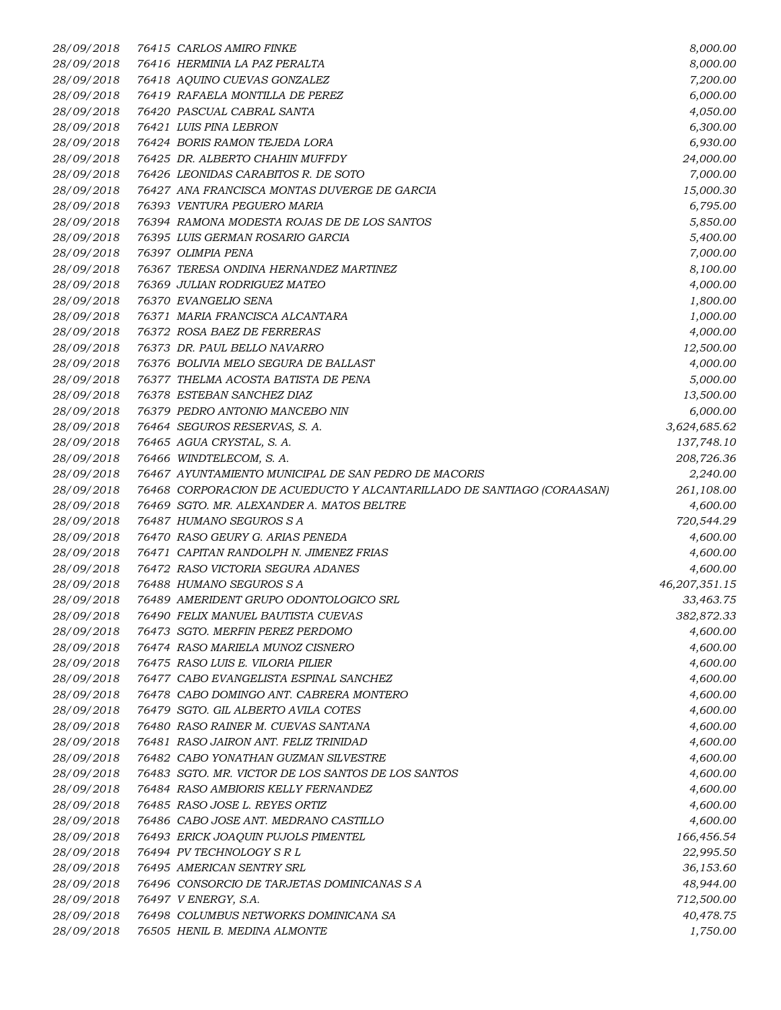| 28/09/2018 | 76415 CARLOS AMIRO FINKE                                               | 8,000.00      |
|------------|------------------------------------------------------------------------|---------------|
| 28/09/2018 | 76416 HERMINIA LA PAZ PERALTA                                          | 8,000.00      |
| 28/09/2018 | 76418 AQUINO CUEVAS GONZALEZ                                           | 7,200.00      |
| 28/09/2018 | 76419 RAFAELA MONTILLA DE PEREZ                                        | 6,000.00      |
| 28/09/2018 | 76420 PASCUAL CABRAL SANTA                                             | 4,050.00      |
| 28/09/2018 | 76421 LUIS PINA LEBRON                                                 | 6,300.00      |
| 28/09/2018 | 76424 BORIS RAMON TEJEDA LORA                                          | 6,930.00      |
| 28/09/2018 | 76425 DR. ALBERTO CHAHIN MUFFDY                                        | 24,000.00     |
| 28/09/2018 | 76426 LEONIDAS CARABITOS R. DE SOTO                                    | 7,000.00      |
| 28/09/2018 | 76427 ANA FRANCISCA MONTAS DUVERGE DE GARCIA                           | 15,000.30     |
| 28/09/2018 | 76393 VENTURA PEGUERO MARIA                                            | 6,795.00      |
| 28/09/2018 | 76394 RAMONA MODESTA ROJAS DE DE LOS SANTOS                            | 5,850.00      |
| 28/09/2018 | 76395 LUIS GERMAN ROSARIO GARCIA                                       | 5,400.00      |
| 28/09/2018 | 76397 OLIMPIA PENA                                                     | 7,000.00      |
| 28/09/2018 | 76367 TERESA ONDINA HERNANDEZ MARTINEZ                                 | 8,100.00      |
| 28/09/2018 | 76369 JULIAN RODRIGUEZ MATEO                                           | 4,000.00      |
| 28/09/2018 | 76370 EVANGELIO SENA                                                   | 1,800.00      |
| 28/09/2018 | 76371 MARIA FRANCISCA ALCANTARA                                        | 1,000.00      |
| 28/09/2018 | 76372 ROSA BAEZ DE FERRERAS                                            | 4,000.00      |
| 28/09/2018 | 76373 DR. PAUL BELLO NAVARRO                                           | 12,500.00     |
| 28/09/2018 | 76376 BOLIVIA MELO SEGURA DE BALLAST                                   | 4,000.00      |
| 28/09/2018 | 76377 THELMA ACOSTA BATISTA DE PENA                                    | 5,000.00      |
| 28/09/2018 | 76378 ESTEBAN SANCHEZ DIAZ                                             | 13,500.00     |
| 28/09/2018 | 76379 PEDRO ANTONIO MANCEBO NIN                                        | 6,000.00      |
| 28/09/2018 | 76464 SEGUROS RESERVAS, S. A.                                          | 3,624,685.62  |
| 28/09/2018 | 76465 AGUA CRYSTAL, S. A.                                              | 137,748.10    |
| 28/09/2018 | 76466 WINDTELECOM, S.A.                                                | 208,726.36    |
| 28/09/2018 | 76467 AYUNTAMIENTO MUNICIPAL DE SAN PEDRO DE MACORIS                   | 2,240.00      |
| 28/09/2018 | 76468 CORPORACION DE ACUEDUCTO Y ALCANTARILLADO DE SANTIAGO (CORAASAN) | 261,108.00    |
| 28/09/2018 | 76469 SGTO. MR. ALEXANDER A. MATOS BELTRE                              | 4,600.00      |
| 28/09/2018 | 76487 HUMANO SEGUROS S A                                               | 720,544.29    |
| 28/09/2018 | 76470 RASO GEURY G. ARIAS PENEDA                                       | 4,600.00      |
| 28/09/2018 | 76471 CAPITAN RANDOLPH N. JIMENEZ FRIAS                                | 4,600.00      |
| 28/09/2018 | 76472 RASO VICTORIA SEGURA ADANES                                      | 4,600.00      |
| 28/09/2018 | 76488 HUMANO SEGUROS S A                                               | 46,207,351.15 |
| 28/09/2018 | 76489 AMERIDENT GRUPO ODONTOLOGICO SRL                                 | 33,463.75     |
| 28/09/2018 | 76490 FELIX MANUEL BAUTISTA CUEVAS                                     | 382,872.33    |
| 28/09/2018 | 76473 SGTO. MERFIN PEREZ PERDOMO                                       | 4,600.00      |
| 28/09/2018 | 76474 RASO MARIELA MUNOZ CISNERO                                       | 4,600.00      |
| 28/09/2018 | 76475 RASO LUIS E. VILORIA PILIER                                      | 4,600.00      |
| 28/09/2018 | 76477 CABO EVANGELISTA ESPINAL SANCHEZ                                 | 4,600.00      |
| 28/09/2018 | 76478 CABO DOMINGO ANT. CABRERA MONTERO                                | 4,600.00      |
| 28/09/2018 | 76479 SGTO. GIL ALBERTO AVILA COTES                                    | 4,600.00      |
| 28/09/2018 | 76480 RASO RAINER M. CUEVAS SANTANA                                    | 4,600.00      |
| 28/09/2018 | 76481 RASO JAIRON ANT. FELIZ TRINIDAD                                  | 4,600.00      |
| 28/09/2018 | 76482 CABO YONATHAN GUZMAN SILVESTRE                                   | 4,600.00      |
| 28/09/2018 | 76483 SGTO. MR. VICTOR DE LOS SANTOS DE LOS SANTOS                     | 4,600.00      |
| 28/09/2018 | 76484 RASO AMBIORIS KELLY FERNANDEZ                                    | 4,600.00      |
| 28/09/2018 | 76485 RASO JOSE L. REYES ORTIZ                                         | 4,600.00      |
| 28/09/2018 | 76486 CABO JOSE ANT. MEDRANO CASTILLO                                  | 4,600.00      |
| 28/09/2018 | 76493 ERICK JOAQUIN PUJOLS PIMENTEL                                    | 166,456.54    |
| 28/09/2018 | 76494 PV TECHNOLOGY S R L                                              | 22,995.50     |
| 28/09/2018 | 76495 AMERICAN SENTRY SRL                                              | 36,153.60     |
| 28/09/2018 | 76496 CONSORCIO DE TARJETAS DOMINICANAS S A                            | 48,944.00     |
| 28/09/2018 | 76497 V ENERGY, S.A.                                                   | 712,500.00    |
| 28/09/2018 | 76498 COLUMBUS NETWORKS DOMINICANA SA                                  | 40,478.75     |
| 28/09/2018 | 76505 HENIL B. MEDINA ALMONTE                                          | 1,750.00      |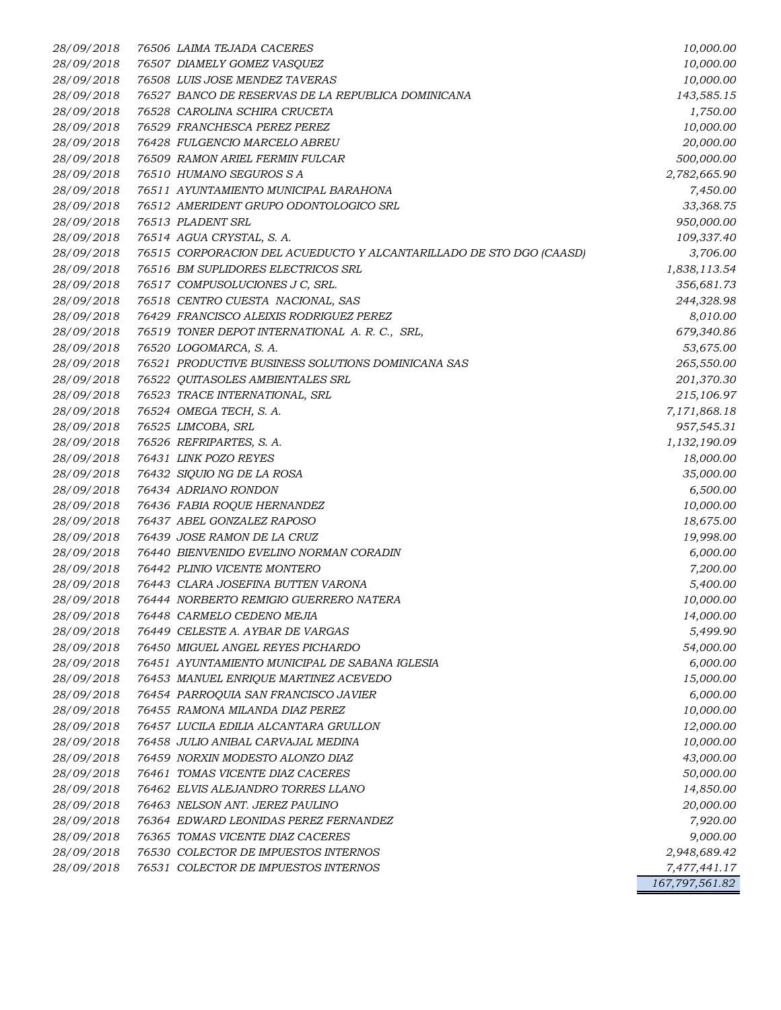*28/09/2018 76506 LAIMA TEJADA CACERES 10,000.00 28/09/2018 76507 DIAMELY GOMEZ VASQUEZ 10,000.00 28/09/2018 76508 LUIS JOSE MENDEZ TAVERAS 10,000.00 28/09/2018 76527 BANCO DE RESERVAS DE LA REPUBLICA DOMINICANA 143,585.15 28/09/2018 76528 CAROLINA SCHIRA CRUCETA 1,750.00 28/09/2018 76529 FRANCHESCA PEREZ PEREZ 10,000.00 28/09/2018 76428 FULGENCIO MARCELO ABREU 20,000.00 28/09/2018 76509 RAMON ARIEL FERMIN FULCAR 500,000.00 28/09/2018 76510 HUMANO SEGUROS S A 2,782,665.90 28/09/2018 76511 AYUNTAMIENTO MUNICIPAL BARAHONA 7,450.00 28/09/2018 76512 AMERIDENT GRUPO ODONTOLOGICO SRL 33,368.75 28/09/2018 76513 PLADENT SRL 950,000.00 28/09/2018 76514 AGUA CRYSTAL, S. A. 109,337.40 28/09/2018 76515 CORPORACION DEL ACUEDUCTO Y ALCANTARILLADO DE STO DGO (CAASD) 3,706.00 28/09/2018 76516 BM SUPLIDORES ELECTRICOS SRL 1,838,113.54 28/09/2018 76517 COMPUSOLUCIONES J C, SRL. 356,681.73 28/09/2018 76518 CENTRO CUESTA NACIONAL, SAS 244,328.98 28/09/2018 76429 FRANCISCO ALEIXIS RODRIGUEZ PEREZ 8,010.00 28/09/2018 76519 TONER DEPOT INTERNATIONAL A. R. C., SRL, 679,340.86 28/09/2018 76520 LOGOMARCA, S. A. 53,675.00 28/09/2018 76521 PRODUCTIVE BUSINESS SOLUTIONS DOMINICANA SAS 265,550.00 28/09/2018 76522 QUITASOLES AMBIENTALES SRL 201,370.30 28/09/2018 76523 TRACE INTERNATIONAL, SRL 215,106.97 28/09/2018 76524 OMEGA TECH, S. A. 7,171,868.18 28/09/2018 76525 LIMCOBA, SRL 957,545.31 28/09/2018 76526 REFRIPARTES, S. A. 1,132,190.09 28/09/2018 76431 LINK POZO REYES 18,000.00 28/09/2018 76432 SIQUIO NG DE LA ROSA 35,000.00 28/09/2018 76434 ADRIANO RONDON 6,500.00 28/09/2018 76436 FABIA ROQUE HERNANDEZ 10,000.00 28/09/2018 76437 ABEL GONZALEZ RAPOSO 18,675.00 28/09/2018 76439 JOSE RAMON DE LA CRUZ 19,998.00 28/09/2018 76440 BIENVENIDO EVELINO NORMAN CORADIN 6,000.00 28/09/2018 76442 PLINIO VICENTE MONTERO 7,200.00 28/09/2018 76443 CLARA JOSEFINA BUTTEN VARONA 5,400.00 28/09/2018 76444 NORBERTO REMIGIO GUERRERO NATERA 10,000.00 28/09/2018 76448 CARMELO CEDENO MEJIA 14,000.00 28/09/2018 76449 CELESTE A. AYBAR DE VARGAS 5,499.90 28/09/2018 76450 MIGUEL ANGEL REYES PICHARDO 54,000.00 28/09/2018 76451 AYUNTAMIENTO MUNICIPAL DE SABANA IGLESIA 6,000.00 28/09/2018 76453 MANUEL ENRIQUE MARTINEZ ACEVEDO 15,000.00 28/09/2018 76454 PARROQUIA SAN FRANCISCO JAVIER 6,000.00 28/09/2018 76455 RAMONA MILANDA DIAZ PEREZ 10,000.00 28/09/2018 76457 LUCILA EDILIA ALCANTARA GRULLON 12,000.00 28/09/2018 76458 JULIO ANIBAL CARVAJAL MEDINA 10,000.00 28/09/2018 76459 NORXIN MODESTO ALONZO DIAZ 43,000.00 28/09/2018 76461 TOMAS VICENTE DIAZ CACERES 50,000.00 28/09/2018 76462 ELVIS ALEJANDRO TORRES LLANO 14,850.00 28/09/2018 76463 NELSON ANT. JEREZ PAULINO 20,000.00 28/09/2018 76364 EDWARD LEONIDAS PEREZ FERNANDEZ 7,920.00 28/09/2018 76365 TOMAS VICENTE DIAZ CACERES 9,000.00 28/09/2018 76530 COLECTOR DE IMPUESTOS INTERNOS 2,948,689.42 28/09/2018 76531 COLECTOR DE IMPUESTOS INTERNOS 7,477,441.17 167,797,561.82*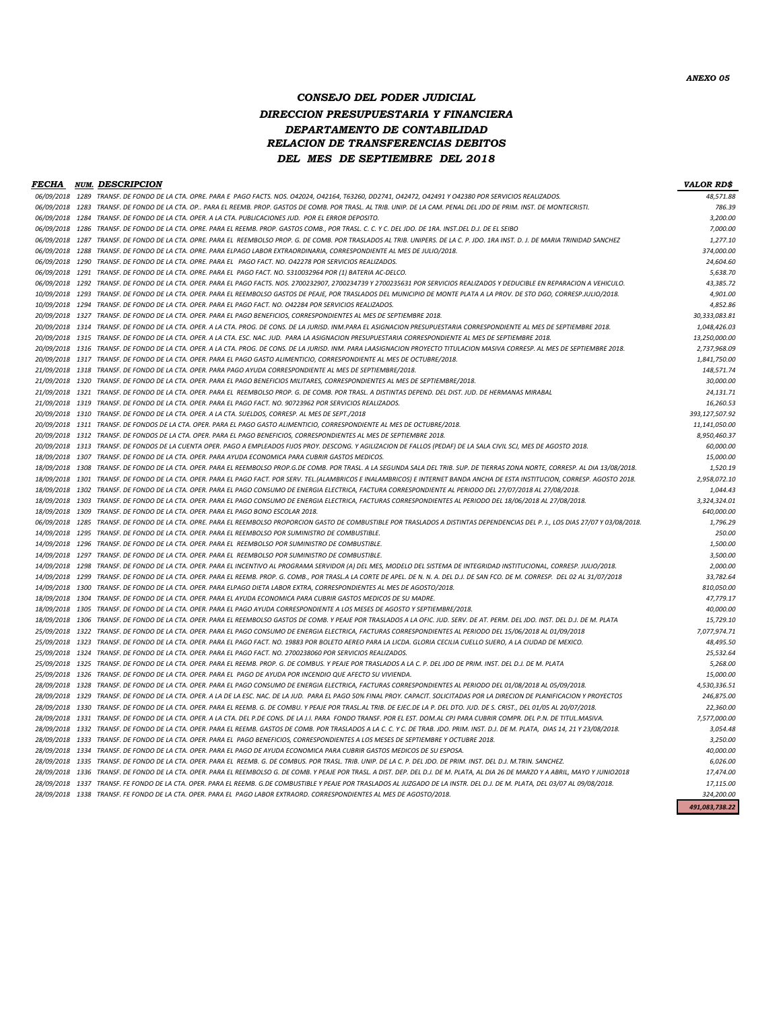*CONSEJO DEL PODER JUDICIAL DIRECCION PRESUPUESTARIA Y FINANCIERA*

#### *DEPARTAMENTO DE CONTABILIDAD RELACION DE TRANSFERENCIAS DEBITOS DEL MES DE SEPTIEMBRE DEL 2018*

|                 |      | <b>FECHA NUM. DESCRIPCION</b>                                                                                                                                                        | <b>VALOR RD\$</b> |
|-----------------|------|--------------------------------------------------------------------------------------------------------------------------------------------------------------------------------------|-------------------|
|                 |      | 06/09/2018 1289 TRANSF. DE FONDO DE LA CTA. OPRE. PARA E PAGO FACTS. NOS. 042024, 042164, T63260, DD2741, 042472, 042491 Y 042380 POR SERVICIOS REALIZADOS.                          | 48,571.88         |
|                 |      | 06/09/2018 1283 TRANSF. DE FONDO DE LA CTA. OP PARA EL REEMB. PROP. GASTOS DE COMB. POR TRASL. AL TRIB. UNIP. DE LA CAM. PENAL DEL JDO DE PRIM. INST. DE MONTECRISTI.                | 786.39            |
| 06/09/2018      | 1284 | TRANSF. DE FONDO DE LA CTA. OPER. A LA CTA. PUBLICACIONES JUD. POR EL ERROR DEPOSITO.                                                                                                | 3,200.00          |
|                 |      | 06/09/2018 1286 TRANSF. DE FONDO DE LA CTA. OPRE. PARA EL REEMB. PROP. GASTOS COMB., POR TRASL. C. C. Y C. DEL JDO. DE 1RA. INST.DEL D.J. DE EL SEIBO                                | 7,000.00          |
|                 |      | 06/09/2018 1287 TRANSF. DE FONDO DE LA CTA. OPRE. PARA EL REEMBOLSO PROP. G. DE COMB. POR TRASLADOS AL TRIB. UNIPERS. DE LA C. P. JDO. 1RA INST. D. J. DE MARIA TRINIDAD SANCHEZ     | 1,277.10          |
| 06/09/2018 1288 |      | TRANSF. DE FONDO DE LA CTA. OPRE. PARA ELPAGO LABOR EXTRAORDINARIA, CORRESPONDIENTE AL MES DE JULIO/2018.                                                                            | 374,000.00        |
| 06/09/2018 1290 |      | TRANSF. DE FONDO DE LA CTA. OPRE. PARA EL PAGO FACT. NO. 042278 POR SERVICIOS REALIZADOS.                                                                                            | 24,604.60         |
|                 |      | 06/09/2018 1291 TRANSF. DE FONDO DE LA CTA. OPRE. PARA EL PAGO FACT. NO. 5310032964 POR (1) BATERIA AC-DELCO.                                                                        | 5,638.70          |
|                 |      | 06/09/2018 1292 TRANSF. DE FONDO DE LA CTA. OPER. PARA EL PAGO FACTS. NOS. 2700232907, 2700234739 Y 2700235631 POR SERVICIOS REALIZADOS Y DEDUCIBLE EN REPARACION A VEHICULO.        | 43,385.72         |
| 10/09/2018 1293 |      | TRANSF. DE FONDO DE LA CTA. OPER. PARA EL REEMBOLSO GASTOS DE PEAJE, POR TRASLADOS DEL MUNICIPIO DE MONTE PLATA A LA PROV. DE STO DGO, CORRESP.JULIO/2018.                           | 4,901.00          |
|                 |      | 10/09/2018 1294 TRANSF. DE FONDO DE LA CTA. OPER. PARA EL PAGO FACT. NO. 042284 POR SERVICIOS REALIZADOS.                                                                            | 4,852.86          |
|                 |      | 20/09/2018 1327 TRANSF. DE FONDO DE LA CTA. OPER. PARA EL PAGO BENEFICIOS, CORRESPONDIENTES AL MES DE SEPTIEMBRE 2018.                                                               | 30,333,083.81     |
|                 |      | 20/09/2018 1314 TRANSF. DE FONDO DE LA CTA. OPER. A LA CTA. PROG. DE CONS. DE LA JURISD. INM.PARA EL ASIGNACION PRESUPUESTARIA CORRESPONDIENTE AL MES DE SEPTIEMBRE 2018.            | 1,048,426.03      |
| 20/09/2018 1315 |      | TRANSF. DE FONDO DE LA CTA. OPER. A LA CTA. ESC. NAC. JUD. PARA LA ASIGNACION PRESUPUESTARIA CORRESPONDIENTE AL MES DE SEPTIEMBRE 2018.                                              | 13,250,000.00     |
|                 |      | 20/09/2018 1316 TRANSF. DE FONDO DE LA CTA. OPER. A LA CTA. PROG. DE CONS. DE LA JURISD. INM. PARA LAASIGNACION PROYECTO TITULACION MASIVA CORRESP. AL MES DE SEPTIEMBRE 2018.       | 2,737,968.09      |
|                 |      | 20/09/2018 1317 TRANSF. DE FONDO DE LA CTA. OPER. PARA EL PAGO GASTO ALIMENTICIO, CORRESPONDIENTE AL MES DE OCTUBRE/2018.                                                            | 1,841,750.00      |
| 21/09/2018      | 1318 | TRANSF. DE FONDO DE LA CTA. OPER. PARA PAGO AYUDA CORRESPONDIENTE AL MES DE SEPTIEMBRE/2018.                                                                                         | 148,571.74        |
|                 |      | 21/09/2018 1320 TRANSF. DE FONDO DE LA CTA. OPER. PARA EL PAGO BENEFICIOS MILITARES, CORRESPONDIENTES AL MES DE SEPTIEMBRE/2018.                                                     | 30,000.00         |
|                 |      | 21/09/2018 1321 TRANSF. DE FONDO DE LA CTA. OPER. PARA EL REEMBOLSO PROP. G. DE COMB. POR TRASL. A DISTINTAS DEPEND. DEL DIST. JUD. DE HERMANAS MIRABAL                              | 24,131.71         |
|                 |      | 21/09/2018 1319 TRANSF. DE FONDO DE LA CTA. OPER. PARA EL PAGO FACT. NO. 90723962 POR SERVICIOS REALIZADOS.                                                                          | 16,260.53         |
| 20/09/2018 1310 |      | TRANSF. DE FONDO DE LA CTA. OPER. A LA CTA. SUELDOS. CORRESP. AL MES DE SEPT./2018                                                                                                   | 393.127.507.92    |
|                 |      | 20/09/2018 1311 TRANSF. DE FONDOS DE LA CTA. OPER. PARA EL PAGO GASTO ALIMENTICIO, CORRESPONDIENTE AL MES DE OCTUBRE/2018.                                                           | 11,141,050.00     |
|                 |      | 20/09/2018 1312 TRANSF. DE FONDOS DE LA CTA. OPER. PARA EL PAGO BENEFICIOS, CORRESPONDIENTES AL MES DE SEPTIEMBRE 2018.                                                              | 8,950,460.37      |
|                 |      | 20/09/2018 1313 TRANSF. DE FONDOS DE LA CUENTA OPER. PAGO A EMPLEADOS FIJOS PROY. DESCONG. Y AGILIZACION DE FALLOS (PEDAF) DE LA SALA CIVIL SCJ, MES DE AGOSTO 2018.                 | 60,000.00         |
| 18/09/2018 1307 |      | TRANSF. DE FONDO DE LA CTA. OPER. PARA AYUDA ECONOMICA PARA CUBRIR GASTOS MEDICOS.                                                                                                   | 15,000.00         |
|                 |      | 18/09/2018 1308 TRANSF. DE FONDO DE LA CTA. OPER. PARA EL REEMBOLSO PROP.G.DE COMB. POR TRASL. A LA SEGUNDA SALA DEL TRIB. SUP. DE TIERRAS ZONA NORTE, CORRESP. AL DIA 13/08/2018.   | 1,520.19          |
|                 |      | 18/09/2018 1301 TRANSF. DE FONDO DE LA CTA. OPER. PARA EL PAGO FACT. POR SERV. TEL.(ALAMBRICOS E INALAMBRICOS) E INTERNET BANDA ANCHA DE ESTA INSTITUCION, CORRESP. AGOSTO 2018.     | 2,958,072.10      |
| 18/09/2018 1302 |      | TRANSF. DE FONDO DE LA CTA. OPER. PARA EL PAGO CONSUMO DE ENERGIA ELECTRICA, FACTURA CORRESPONDIENTE AL PERIODO DEL 27/07/2018 AL 27/08/2018.                                        | 1,044.43          |
|                 |      | 18/09/2018 1303 TRANSF. DE FONDO DE LA CTA. OPER. PARA EL PAGO CONSUMO DE ENERGIA ELECTRICA, FACTURAS CORRESPONDIENTES AL PERIODO DEL 18/06/2018 AL 27/08/2018.                      | 3,324,324.01      |
|                 |      | 18/09/2018 1309 TRANSF. DE FONDO DE LA CTA. OPER. PARA EL PAGO BONO ESCOLAR 2018.                                                                                                    | 640,000.00        |
|                 |      | 06/09/2018 1285 TRANSF. DE FONDO DE LA CTA. OPRE. PARA EL REEMBOLSO PROPORCION GASTO DE COMBUSTIBLE POR TRASLADOS A DISTINTAS DEPENDENCIAS DEL P. J., LOS DIAS 27/07 Y 03/08/2018.   | 1,796.29          |
| 14/09/2018 1295 |      | TRANSF. DE FONDO DE LA CTA, OPER, PARA EL REEMBOLSO POR SUMINISTRO DE COMBUSTIBLE.                                                                                                   | 250.00            |
|                 |      | 14/09/2018 1296 TRANSF. DE FONDO DE LA CTA. OPER. PARA EL REEMBOLSO POR SUMINISTRO DE COMBUSTIBLE.                                                                                   | 1,500.00          |
|                 |      | 14/09/2018 1297 TRANSF. DE FONDO DE LA CTA. OPER. PARA EL REEMBOLSO POR SUMINISTRO DE COMBUSTIBLE.                                                                                   | 3,500.00          |
| 14/09/2018 1298 |      | TRANSF. DE FONDO DE LA CTA. OPER. PARA EL INCENTIVO AL PROGRAMA SERVIDOR (A) DEL MES, MODELO DEL SISTEMA DE INTEGRIDAD INSTITUCIONAL, CORRESP. JULIO/2018.                           | 2,000.00          |
|                 |      | 14/09/2018 1299 TRANSF. DE FONDO DE LA CTA. OPER. PARA EL REEMB. PROP. G. COMB., POR TRASL.A LA CORTE DE APEL. DE N. N. A. DEL D.J. DE SAN FCO. DE M. CORRESP. DEL 02 AL 31/07/2018  | 33,782.64         |
|                 |      | 14/09/2018 1300 TRANSF. DE FONDO DE LA CTA. OPER. PARA ELPAGO DIETA LABOR EXTRA, CORRESPONDIENTES AL MES DE AGOSTO/2018.                                                             | 810,050.00        |
|                 |      | 18/09/2018 1304 TRANSF. DE FONDO DE LA CTA. OPER. PARA EL AYUDA ECONOMICA PARA CUBRIR GASTOS MEDICOS DE SU MADRE.                                                                    | 47,779.17         |
|                 |      | 18/09/2018 1305 TRANSF. DE FONDO DE LA CTA. OPER. PARA EL PAGO AYUDA CORRESPONDIENTE A LOS MESES DE AGOSTO Y SEPTIEMBRE/2018.                                                        | 40,000.00         |
|                 |      | 18/09/2018 1306 TRANSF. DE FONDO DE LA CTA. OPER. PARA EL REEMBOLSO GASTOS DE COMB. Y PEAJE POR TRASLADOS A LA OFIC. JUD. SERV. DE AT. PERM. DEL JDO. INST. DEL D.J. DE M. PLATA     | 15,729.10         |
|                 |      | 25/09/2018 1322 TRANSF. DE FONDO DE LA CTA. OPER. PARA EL PAGO CONSUMO DE ENERGIA ELECTRICA, FACTURAS CORRESPONDIENTES AL PERIODO DEL 15/06/2018 AL 01/09/2018                       | 7,077,974.71      |
| 25/09/2018 1323 |      | TRANSF. DE FONDO DE LA CTA. OPER. PARA EL PAGO FACT. NO. 19883 POR BOLETO AEREO PARA LA LICDA. GLORIA CECILIA CUELLO SUERO, A LA CIUDAD DE MEXICO.                                   | 48,495.50         |
|                 |      | 25/09/2018 1324 TRANSF. DE FONDO DE LA CTA. OPER. PARA EL PAGO FACT. NO. 2700238060 POR SERVICIOS REALIZADOS.                                                                        | 25,532.64         |
|                 |      | 25/09/2018 1325 TRANSF. DE FONDO DE LA CTA. OPER. PARA EL REEMB. PROP. G. DE COMBUS. Y PEAJE POR TRASLADOS A LA C. P. DEL JDO DE PRIM. INST. DEL D.J. DE M. PLATA                    | 5,268.00          |
|                 |      | 25/09/2018 1326 TRANSF. DE FONDO DE LA CTA. OPER. PARA EL PAGO DE AYUDA POR INCENDIO QUE AFECTO SU VIVIENDA.                                                                         | 15,000.00         |
| 28/09/2018 1328 |      | TRANSF. DE FONDO DE LA CTA. OPER. PARA EL PAGO CONSUMO DE ENERGIA ELECTRICA, FACTURAS CORRESPONDIENTES AL PERIODO DEL 01/08/2018 AL 05/09/2018.                                      | 4,530,336.51      |
|                 |      | 28/09/2018 1329 TRANSF. DE FONDO DE LA CTA. OPER. A LA DE LA ESC. NAC. DE LA JUD. PARA EL PAGO 50% FINAL PROY. CAPACIT. SOLICITADAS POR LA DIRECION DE PLANIFICACION Y PROYECTOS     | 246,875.00        |
|                 |      | 28/09/2018 1330 TRANSF. DE FONDO DE LA CTA. OPER. PARA EL REEMB. G. DE COMBU. Y PEAJE POR TRASL.AL TRIB. DE EJEC.DE LA P. DEL DTO. JUD. DE S. CRIST., DEL 01/05 AL 20/07/2018.       | 22,360.00         |
|                 |      | 28/09/2018 1331 TRANSF. DE FONDO DE LA CTA. OPER. A LA CTA. DEL P.DE CONS. DE LA J.I. PARA FONDO TRANSF. POR EL EST. DOM.AL CPJ PARA CUBRIR COMPR. DEL P.N. DE TITUL.MASIVA.         | 7,577,000.00      |
|                 |      | 28/09/2018 1332 TRANSF. DE FONDO DE LA CTA. OPER. PARA EL REEMB. GASTOS DE COMB. POR TRASLADOS A LA C. C. Y C. DE TRAB. JDO. PRIM. INST. D.J. DE M. PLATA, DIAS 14, 21 Y 23/08/2018. | 3,054.48          |
|                 |      | 28/09/2018 1333 TRANSF. DE FONDO DE LA CTA. OPER. PARA EL PAGO BENEFICIOS, CORRESPONDIENTES A LOS MESES DE SEPTIEMBRE Y OCTUBRE 2018.                                                | 3,250.00          |
|                 |      | 28/09/2018 1334 TRANSF. DE FONDO DE LA CTA. OPER. PARA EL PAGO DE AYUDA ECONOMICA PARA CUBRIR GASTOS MEDICOS DE SU ESPOSA.                                                           | 40,000.00         |
| 28/09/2018 1335 |      | TRANSF. DE FONDO DE LA CTA. OPER. PARA EL REEMB. G. DE COMBUS. POR TRASL. TRIB. UNIP. DE LA C. P. DEL JDO. DE PRIM. INST. DEL D.J. M.TRIN. SANCHEZ.                                  | 6,026.00          |
|                 |      | 28/09/2018 1336 TRANSF. DE FONDO DE LA CTA. OPER. PARA EL REEMBOLSO G. DE COMB. Y PEAJE POR TRASL. A DIST. DEP. DEL D.J. DE M. PLATA, AL DIA 26 DE MARZO Y A ABRIL, MAYO Y JUNIO2018 | 17,474.00         |
|                 |      | 28/09/2018 1337 TRANSF. FE FONDO DE LA CTA. OPER. PARA EL REEMB. G.DE COMBUSTIBLE Y PEAJE POR TRASLADOS AL JUZGADO DE LA INSTR. DEL D.J. DE M. PLATA, DEL 03/07 AL 09/08/2018.       | 17,115.00         |
|                 |      | 28/09/2018 1338 TRANSF. FE FONDO DE LA CTA. OPER. PARA EL PAGO LABOR EXTRAORD. CORRESPONDIENTES AL MES DE AGOSTO/2018.                                                               | 324,200.00        |
|                 |      |                                                                                                                                                                                      | 491.083.738.22    |